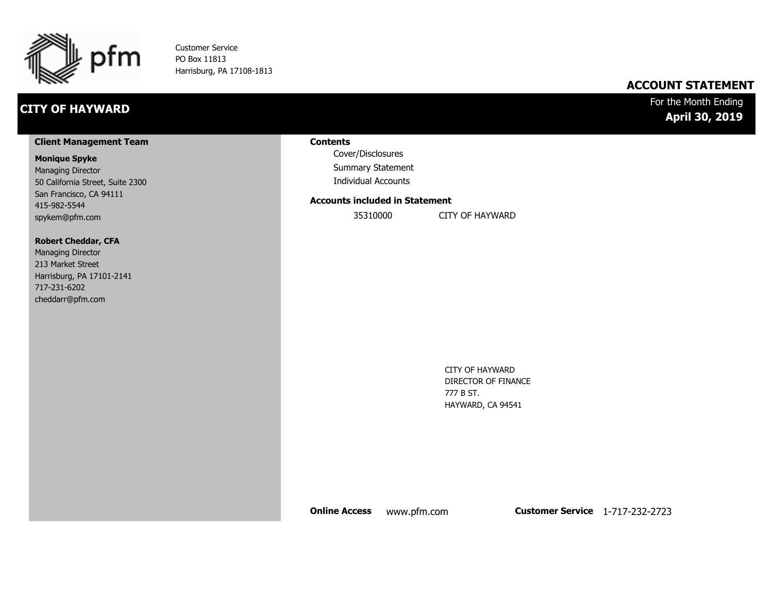

Customer Service PO Box 11813 Harrisburg, PA 17108-1813

### **CITY OF HAYWARD**

#### **ACCOUNT STATEMENT**

#### For the Month Ending **April 30, 2019**

#### **Client Management Team**

#### **Monique Spyke**

Managing Director 50 California Street, Suite 2300 San Francisco, CA 94111 415-982-5544 spykem@pfm.com

#### **Robert Cheddar, CFA**

| <b>Managing Director</b>  |
|---------------------------|
| 213 Market Street         |
| Harrisburg, PA 17101-2141 |
| 717-231-6202              |
| cheddarr@pfm.com          |

#### **Contents**

Cover/Disclosures Summary Statement Individual Accounts

#### **Accounts included in Statement**

35310000 CITY OF HAYWARD

CITY OF HAYWARD DIRECTOR OF FINANCE 777 B ST. HAYWARD, CA 94541

**Online Access** www.pfm.com **Customer Service** 1-717-232-2723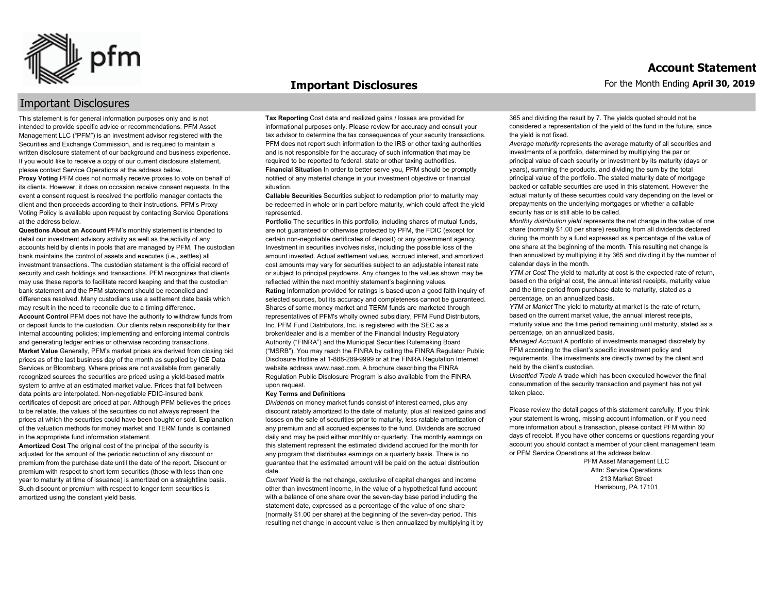

#### **Important Disclosures**

#### Important Disclosures

This statement is for general information purposes only and is not intended to provide specific advice or recommendations. PFM Asset Management LLC ("PFM") is an investment advisor registered with the Securities and Exchange Commission, and is required to maintain a written disclosure statement of our background and business experience. If you would like to receive a copy of our current disclosure statement, please contact Service Operations at the address below.

**Proxy Voting** PFM does not normally receive proxies to vote on behalf of its clients. However, it does on occasion receive consent requests. In the event a consent request is received the portfolio manager contacts the client and then proceeds according to their instructions. PFM's Proxy Voting Policy is available upon request by contacting Service Operations at the address below.

**Questions About an Account** PFM's monthly statement is intended to detail our investment advisory activity as well as the activity of any accounts held by clients in pools that are managed by PFM. The custodian bank maintains the control of assets and executes (i.e., settles) all investment transactions. The custodian statement is the official record of security and cash holdings and transactions. PFM recognizes that clients may use these reports to facilitate record keeping and that the custodian bank statement and the PFM statement should be reconciled and differences resolved. Many custodians use a settlement date basis which may result in the need to reconcile due to a timing difference. **Account Control** PFM does not have the authority to withdraw funds from or deposit funds to the custodian. Our clients retain responsibility for their internal accounting policies; implementing and enforcing internal controls and generating ledger entries or otherwise recording transactions. **Market Value** Generally, PFM's market prices are derived from closing bid prices as of the last business day of the month as supplied by ICE Data Services or Bloomberg. Where prices are not available from generally recognized sources the securities are priced using a yield-based matrix system to arrive at an estimated market value. Prices that fall between data points are interpolated. Non-negotiable FDIC-insured bank certificates of deposit are priced at par. Although PFM believes the prices to be reliable, the values of the securities do not always represent the prices at which the securities could have been bought or sold. Explanation of the valuation methods for money market and TERM funds is contained in the appropriate fund information statement.

**Amortized Cost** The original cost of the principal of the security is adjusted for the amount of the periodic reduction of any discount or premium from the purchase date until the date of the report. Discount or premium with respect to short term securities (those with less than one year to maturity at time of issuance) is amortized on a straightline basis. Such discount or premium with respect to longer term securities is amortized using the constant yield basis.

**Tax Reporting** Cost data and realized gains / losses are provided for informational purposes only. Please review for accuracy and consult your tax advisor to determine the tax consequences of your security transactions. PFM does not report such information to the IRS or other taxing authorities and is not responsible for the accuracy of such information that may be required to be reported to federal, state or other taxing authorities. **Financial Situation** In order to better serve you, PFM should be promptly notified of any material change in your investment objective or financial situation.

**Callable Securities** Securities subject to redemption prior to maturity may be redeemed in whole or in part before maturity, which could affect the yield represented.

Portfolio The securities in this portfolio, including shares of mutual funds, are not guaranteed or otherwise protected by PFM, the FDIC (except for certain non-negotiable certificates of deposit) or any government agency. Investment in securities involves risks, including the possible loss of the amount invested. Actual settlement values, accrued interest, and amortized cost amounts may vary for securities subject to an adjustable interest rate or subject to principal paydowns. Any changes to the values shown may be reflected within the next monthly statement's beginning values. **Rating** Information provided for ratings is based upon a good faith inquiry of selected sources, but its accuracy and completeness cannot be guaranteed. Shares of some money market and TERM funds are marketed through representatives of PFM's wholly owned subsidiary, PFM Fund Distributors, Inc. PFM Fund Distributors, Inc. is registered with the SEC as a broker/dealer and is a member of the Financial Industry Regulatory Authority ("FINRA") and the Municipal Securities Rulemaking Board ("MSRB"). You may reach the FINRA by calling the FINRA Regulator Public Disclosure Hotline at 1-888-289-9999 or at the FINRA Regulation Internet website address www.nasd.com. A brochure describing the FINRA Regulation Public Disclosure Program is also available from the FINRA upon request.

#### **Key Terms and Definitions**

*Dividends* on money market funds consist of interest earned, plus any discount ratably amortized to the date of maturity, plus all realized gains and losses on the sale of securities prior to maturity, less ratable amortization of any premium and all accrued expenses to the fund. Dividends are accrued daily and may be paid either monthly or quarterly. The monthly earnings on this statement represent the estimated dividend accrued for the month for any program that distributes earnings on a quarterly basis. There is no guarantee that the estimated amount will be paid on the actual distribution date.

*Current Yield* is the net change, exclusive of capital changes and income other than investment income, in the value of a hypothetical fund account with a balance of one share over the seven-day base period including the statement date, expressed as a percentage of the value of one share (normally \$1.00 per share) at the beginning of the seven-day period. This resulting net change in account value is then annualized by multiplying it by 365 and dividing the result by 7. The yields quoted should not be considered a representation of the yield of the fund in the future, since the yield is not fixed.

*Average maturity* represents the average maturity of all securities and investments of a portfolio, determined by multiplying the par or principal value of each security or investment by its maturity (days or years), summing the products, and dividing the sum by the total principal value of the portfolio. The stated maturity date of mortgage backed or callable securities are used in this statement. However the actual maturity of these securities could vary depending on the level or prepayments on the underlying mortgages or whether a callable security has or is still able to be called.

*Monthly distribution yield* represents the net change in the value of one share (normally \$1.00 per share) resulting from all dividends declared during the month by a fund expressed as a percentage of the value of one share at the beginning of the month. This resulting net change is then annualized by multiplying it by 365 and dividing it by the number of calendar days in the month.

*YTM at Cost* The yield to maturity at cost is the expected rate of return, based on the original cost, the annual interest receipts, maturity value and the time period from purchase date to maturity, stated as a percentage, on an annualized basis.

*YTM at Market* The yield to maturity at market is the rate of return, based on the current market value, the annual interest receipts, maturity value and the time period remaining until maturity, stated as a percentage, on an annualized basis.

*Managed Account* A portfolio of investments managed discretely by PFM according to the client's specific investment policy and requirements. The investments are directly owned by the client and held by the client's custodian.

*Unsettled Trade* A trade which has been executed however the final consummation of the security transaction and payment has not yet taken place.

Please review the detail pages of this statement carefully. If you think your statement is wrong, missing account information, or if you need more information about a transaction, please contact PFM within 60 days of receipt. If you have other concerns or questions regarding your account you should contact a member of your client management team or PFM Service Operations at the address below.

> PFM Asset Management LLC Attn: Service Operations 213 Market Street Harrisburg, PA 17101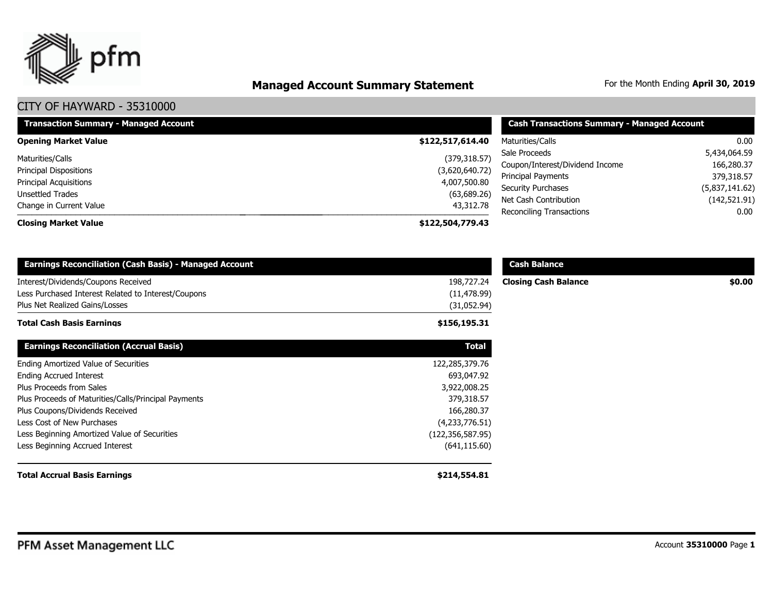

# **Managed Account Summary Statement** For the Month Ending April 30, 2019

| <b>Transaction Summary - Managed Account</b> | <b>Cash Transactions Summary - Managed Account</b> |                                                   |                           |
|----------------------------------------------|----------------------------------------------------|---------------------------------------------------|---------------------------|
| <b>Opening Market Value</b>                  | \$122,517,614.40                                   | Maturities/Calls                                  | $0.00\,$                  |
| Maturities/Calls                             | (379, 318.57)                                      | Sale Proceeds                                     | 5,434,064.59              |
| <b>Principal Dispositions</b>                | (3,620,640.72)                                     | Coupon/Interest/Dividend Income                   | 166,280.37                |
| <b>Principal Acquisitions</b>                | 4,007,500.80                                       | Principal Payments                                | 379,318.57                |
| Unsettled Trades                             | (63,689.26)                                        | <b>Security Purchases</b>                         | (5,837,141.62)            |
| Change in Current Value                      | 43,312.78                                          | Net Cash Contribution<br>Reconciling Transactions | (142, 521.91)<br>$0.00\,$ |
| <b>Closing Market Value</b>                  | \$122,504,779.43                                   |                                                   |                           |

| <b>Earnings Reconciliation (Cash Basis) - Managed Account</b>                                                                |                                           | <b>Cash Balance</b>         |        |
|------------------------------------------------------------------------------------------------------------------------------|-------------------------------------------|-----------------------------|--------|
| Interest/Dividends/Coupons Received<br>Less Purchased Interest Related to Interest/Coupons<br>Plus Net Realized Gains/Losses | 198,727.24<br>(11, 478.99)<br>(31,052.94) | <b>Closing Cash Balance</b> | \$0.00 |
| <b>Total Cash Basis Earnings</b>                                                                                             | \$156,195.31                              |                             |        |
| <b>Earnings Reconciliation (Accrual Basis)</b>                                                                               | <b>Total</b>                              |                             |        |
| Ending Amortized Value of Securities                                                                                         | 122,285,379.76                            |                             |        |
| <b>Ending Accrued Interest</b>                                                                                               | 693,047.92                                |                             |        |
| Plus Proceeds from Sales                                                                                                     | 3,922,008.25                              |                             |        |
| Plus Proceeds of Maturities/Calls/Principal Payments                                                                         | 379,318.57                                |                             |        |
| Plus Coupons/Dividends Received                                                                                              | 166,280.37                                |                             |        |
| Less Cost of New Purchases                                                                                                   | (4,233,776.51)                            |                             |        |
| Less Beginning Amortized Value of Securities                                                                                 | (122, 356, 587.95)                        |                             |        |
| Less Beginning Accrued Interest                                                                                              | (641, 115.60)                             |                             |        |
| <b>Total Accrual Basis Earnings</b>                                                                                          | \$214,554.81                              |                             |        |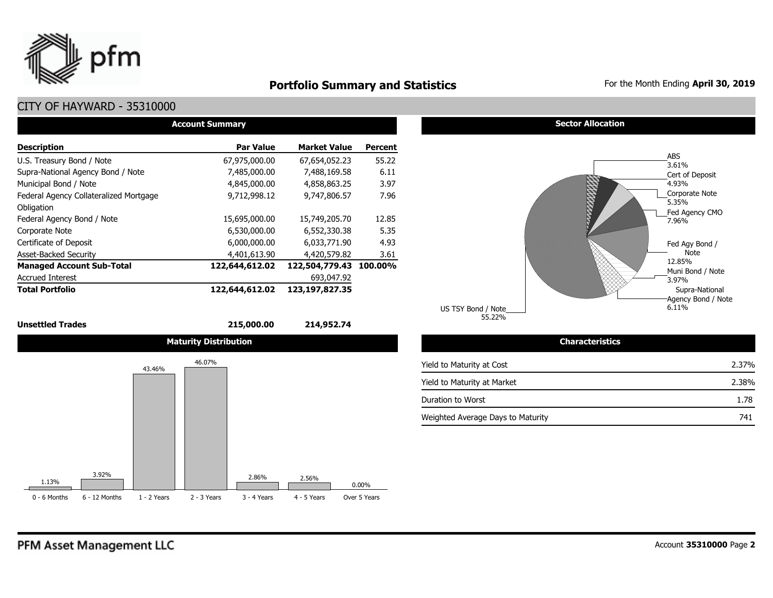

### **Portfolio Summary and Statistics** For the Month Ending April 30, 2019

#### CITY OF HAYWARD - 35310000

|                                        | <b>Account Summary</b> |                     |                |
|----------------------------------------|------------------------|---------------------|----------------|
| <b>Description</b>                     | <b>Par Value</b>       | <b>Market Value</b> | <b>Percent</b> |
| U.S. Treasury Bond / Note              | 67,975,000.00          | 67,654,052.23       | 55.22          |
| Supra-National Agency Bond / Note      | 7,485,000.00           | 7,488,169.58        | 6.11           |
| Municipal Bond / Note                  | 4,845,000.00           | 4,858,863,25        | 3.97           |
| Federal Agency Collateralized Mortgage | 9.712.998.12           | 9,747,806.57        | 7.96           |
| Obligation                             |                        |                     |                |
| Federal Agency Bond / Note             | 15,695,000.00          | 15,749,205.70       | 12.85          |
| Corporate Note                         | 6,530,000.00           | 6,552,330.38        | 5.35           |
| Certificate of Deposit                 | 6,000,000.00           | 6,033,771.90        | 4.93           |
| <b>Asset-Backed Security</b>           | 4,401,613.90           | 4,420,579.82        | 3.61           |
| <b>Managed Account Sub-Total</b>       | 122,644,612.02         | 122,504,779.43      | 100.00%        |
| <b>Accrued Interest</b>                |                        | 693,047.92          |                |
| <b>Total Portfolio</b>                 | 122,644,612.02         | 123,197,827.35      |                |

#### **Unsettled Trades 215,000.00 214,952.74**







55.22% US TSY Bond / Note

| <b>Characteristics</b>            |       |
|-----------------------------------|-------|
| Yield to Maturity at Cost         | 2.37% |
| Yield to Maturity at Market       | 2.38% |
| Duration to Worst                 | 1.78  |
| Weighted Average Days to Maturity | 741   |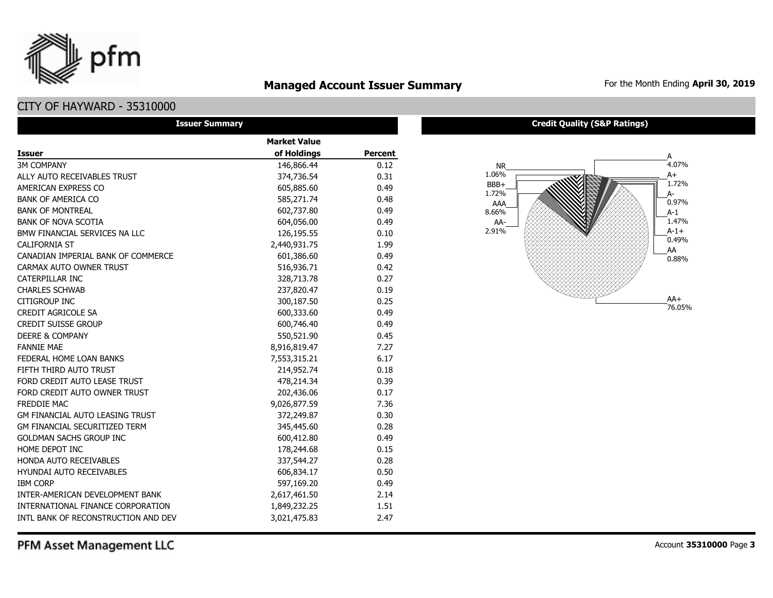### **Managed Account Issuer Summary** For the Month Ending April 30, 2019

### CITY OF HAYWARD - 35310000

pfm

| <b>Issuer Summary</b>                  |                     |                |
|----------------------------------------|---------------------|----------------|
|                                        | <b>Market Value</b> |                |
| <b>Issuer</b>                          | of Holdings         | <b>Percent</b> |
| <b>3M COMPANY</b>                      | 146,866.44          | 0.12           |
| ALLY AUTO RECEIVABLES TRUST            | 374,736.54          | 0.31           |
| AMERICAN EXPRESS CO                    | 605,885.60          | 0.49           |
| <b>BANK OF AMERICA CO</b>              | 585,271.74          | 0.48           |
| <b>BANK OF MONTREAL</b>                | 602,737.80          | 0.49           |
| <b>BANK OF NOVA SCOTIA</b>             | 604,056.00          | 0.49           |
| BMW FINANCIAL SERVICES NA LLC          | 126,195.55          | 0.10           |
| <b>CALIFORNIA ST</b>                   | 2,440,931.75        | 1.99           |
| CANADIAN IMPERIAL BANK OF COMMERCE     | 601,386.60          | 0.49           |
| CARMAX AUTO OWNER TRUST                | 516,936.71          | 0.42           |
| CATERPILLAR INC                        | 328,713.78          | 0.27           |
| <b>CHARLES SCHWAB</b>                  | 237,820.47          | 0.19           |
| <b>CITIGROUP INC</b>                   | 300,187.50          | 0.25           |
| <b>CREDIT AGRICOLE SA</b>              | 600,333.60          | 0.49           |
| <b>CREDIT SUISSE GROUP</b>             | 600,746.40          | 0.49           |
| <b>DEERE &amp; COMPANY</b>             | 550,521.90          | 0.45           |
| <b>FANNIE MAE</b>                      | 8,916,819.47        | 7.27           |
| FEDERAL HOME LOAN BANKS                | 7,553,315.21        | 6.17           |
| FIFTH THIRD AUTO TRUST                 | 214,952.74          | 0.18           |
| FORD CREDIT AUTO LEASE TRUST           | 478,214.34          | 0.39           |
| FORD CREDIT AUTO OWNER TRUST           | 202,436.06          | 0.17           |
| FREDDIE MAC                            | 9,026,877.59        | 7.36           |
| <b>GM FINANCIAL AUTO LEASING TRUST</b> | 372,249.87          | 0.30           |
| <b>GM FINANCIAL SECURITIZED TERM</b>   | 345,445.60          | 0.28           |
| <b>GOLDMAN SACHS GROUP INC</b>         | 600,412.80          | 0.49           |
| HOME DEPOT INC                         | 178,244.68          | 0.15           |
| HONDA AUTO RECEIVABLES                 | 337,544.27          | 0.28           |
| <b>HYUNDAI AUTO RECEIVABLES</b>        | 606,834.17          | 0.50           |
| <b>IBM CORP</b>                        | 597,169.20          | 0.49           |
| INTER-AMERICAN DEVELOPMENT BANK        | 2,617,461.50        | 2.14           |
| INTERNATIONAL FINANCE CORPORATION      | 1,849,232.25        | 1.51           |
| INTL BANK OF RECONSTRUCTION AND DEV    | 3,021,475.83        | 2.47           |

#### **Credit Quality (S&P Ratings)**

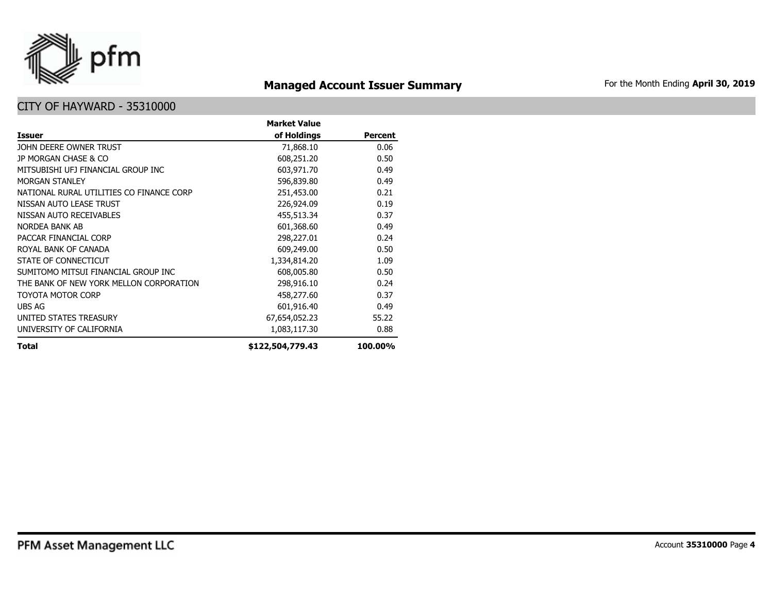

# **Managed Account Issuer Summary** For the Month Ending April 30, 2019

|                                          | <b>Market Value</b> |                |
|------------------------------------------|---------------------|----------------|
| <b>Issuer</b>                            | of Holdings         | <b>Percent</b> |
| JOHN DEERE OWNER TRUST                   | 71,868.10           | 0.06           |
| JP MORGAN CHASE & CO                     | 608,251.20          | 0.50           |
| MITSUBISHI UFJ FINANCIAL GROUP INC       | 603,971.70          | 0.49           |
| <b>MORGAN STANLEY</b>                    | 596,839.80          | 0.49           |
| NATIONAL RURAL UTILITIES CO FINANCE CORP | 251,453.00          | 0.21           |
| NISSAN AUTO LEASE TRUST                  | 226,924.09          | 0.19           |
| NISSAN AUTO RECEIVABLES                  | 455,513.34          | 0.37           |
| NORDEA BANK AB                           | 601,368.60          | 0.49           |
| PACCAR FINANCIAL CORP                    | 298,227.01          | 0.24           |
| ROYAL BANK OF CANADA                     | 609,249.00          | 0.50           |
| STATE OF CONNECTICUT                     | 1,334,814.20        | 1.09           |
| SUMITOMO MITSUI FINANCIAL GROUP INC      | 608,005.80          | 0.50           |
| THE BANK OF NEW YORK MELLON CORPORATION  | 298,916.10          | 0.24           |
| TOYOTA MOTOR CORP                        | 458,277.60          | 0.37           |
| UBS AG                                   | 601,916.40          | 0.49           |
| UNITED STATES TREASURY                   | 67,654,052.23       | 55.22          |
| UNIVERSITY OF CALIFORNIA                 | 1,083,117.30        | 0.88           |
| Total                                    | \$122,504,779.43    | 100.00%        |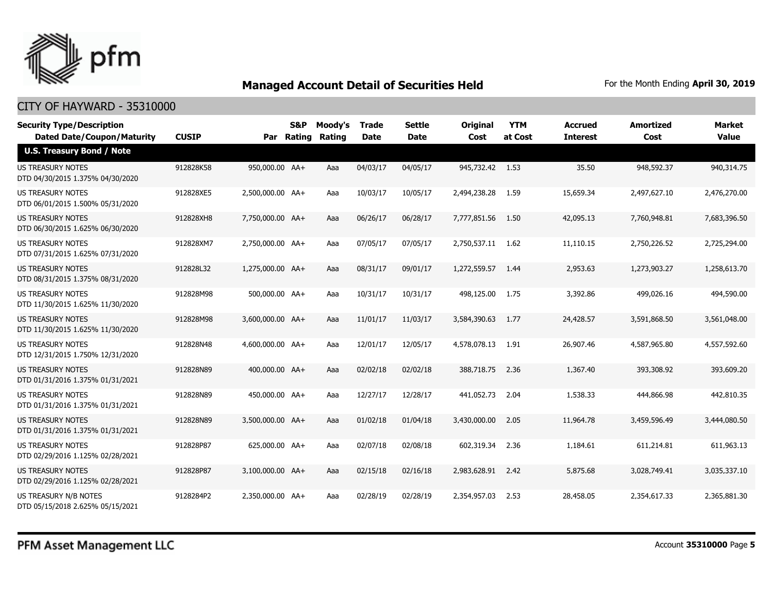

| <b>Security Type/Description</b><br><b>Dated Date/Coupon/Maturity</b> | <b>CUSIP</b> |                  | S&P<br>Par Rating | Moody's<br>Rating | <b>Trade</b><br><b>Date</b> | <b>Settle</b><br><b>Date</b> | <b>Original</b><br>Cost | <b>YTM</b><br>at Cost | <b>Accrued</b><br><b>Interest</b> | <b>Amortized</b><br>Cost | <b>Market</b><br><b>Value</b> |
|-----------------------------------------------------------------------|--------------|------------------|-------------------|-------------------|-----------------------------|------------------------------|-------------------------|-----------------------|-----------------------------------|--------------------------|-------------------------------|
| <b>U.S. Treasury Bond / Note</b>                                      |              |                  |                   |                   |                             |                              |                         |                       |                                   |                          |                               |
| <b>US TREASURY NOTES</b><br>DTD 04/30/2015 1.375% 04/30/2020          | 912828K58    | 950,000.00 AA+   |                   | Aaa               | 04/03/17                    | 04/05/17                     | 945,732.42 1.53         |                       | 35.50                             | 948,592.37               | 940,314.75                    |
| US TREASURY NOTES<br>DTD 06/01/2015 1.500% 05/31/2020                 | 912828XE5    | 2,500,000.00 AA+ |                   | Aaa               | 10/03/17                    | 10/05/17                     | 2,494,238.28            | 1.59                  | 15,659.34                         | 2,497,627.10             | 2,476,270.00                  |
| <b>US TREASURY NOTES</b><br>DTD 06/30/2015 1.625% 06/30/2020          | 912828XH8    | 7,750,000.00 AA+ |                   | Aaa               | 06/26/17                    | 06/28/17                     | 7,777,851.56            | 1.50                  | 42,095.13                         | 7,760,948.81             | 7,683,396.50                  |
| US TREASURY NOTES<br>DTD 07/31/2015 1.625% 07/31/2020                 | 912828XM7    | 2,750,000.00 AA+ |                   | Aaa               | 07/05/17                    | 07/05/17                     | 2,750,537.11 1.62       |                       | 11,110.15                         | 2,750,226.52             | 2,725,294.00                  |
| <b>US TREASURY NOTES</b><br>DTD 08/31/2015 1.375% 08/31/2020          | 912828L32    | 1,275,000.00 AA+ |                   | Aaa               | 08/31/17                    | 09/01/17                     | 1,272,559.57            | 1.44                  | 2,953.63                          | 1,273,903.27             | 1,258,613.70                  |
| <b>US TREASURY NOTES</b><br>DTD 11/30/2015 1.625% 11/30/2020          | 912828M98    | 500,000.00 AA+   |                   | Aaa               | 10/31/17                    | 10/31/17                     | 498,125.00              | 1.75                  | 3,392.86                          | 499,026.16               | 494,590.00                    |
| US TREASURY NOTES<br>DTD 11/30/2015 1.625% 11/30/2020                 | 912828M98    | 3,600,000.00 AA+ |                   | Aaa               | 11/01/17                    | 11/03/17                     | 3,584,390.63            | 1.77                  | 24,428.57                         | 3,591,868.50             | 3,561,048.00                  |
| <b>US TREASURY NOTES</b><br>DTD 12/31/2015 1.750% 12/31/2020          | 912828N48    | 4,600,000.00 AA+ |                   | Aaa               | 12/01/17                    | 12/05/17                     | 4,578,078.13            | 1.91                  | 26,907.46                         | 4,587,965.80             | 4,557,592.60                  |
| US TREASURY NOTES<br>DTD 01/31/2016 1.375% 01/31/2021                 | 912828N89    | 400,000.00 AA+   |                   | Aaa               | 02/02/18                    | 02/02/18                     | 388,718.75              | 2.36                  | 1,367.40                          | 393,308.92               | 393,609.20                    |
| <b>US TREASURY NOTES</b><br>DTD 01/31/2016 1.375% 01/31/2021          | 912828N89    | 450,000.00 AA+   |                   | Aaa               | 12/27/17                    | 12/28/17                     | 441,052.73              | 2.04                  | 1,538.33                          | 444,866.98               | 442,810.35                    |
| <b>US TREASURY NOTES</b><br>DTD 01/31/2016 1.375% 01/31/2021          | 912828N89    | 3,500,000.00 AA+ |                   | Aaa               | 01/02/18                    | 01/04/18                     | 3,430,000.00            | 2.05                  | 11,964.78                         | 3,459,596.49             | 3,444,080.50                  |
| <b>US TREASURY NOTES</b><br>DTD 02/29/2016 1.125% 02/28/2021          | 912828P87    | 625,000.00 AA+   |                   | Aaa               | 02/07/18                    | 02/08/18                     | 602,319.34              | 2.36                  | 1,184.61                          | 611,214.81               | 611,963.13                    |
| <b>US TREASURY NOTES</b><br>DTD 02/29/2016 1.125% 02/28/2021          | 912828P87    | 3,100,000.00 AA+ |                   | Aaa               | 02/15/18                    | 02/16/18                     | 2,983,628.91            | 2.42                  | 5,875.68                          | 3,028,749.41             | 3,035,337,10                  |
| US TREASURY N/B NOTES<br>DTD 05/15/2018 2.625% 05/15/2021             | 9128284P2    | 2,350,000.00 AA+ |                   | Aaa               | 02/28/19                    | 02/28/19                     | 2,354,957.03            | 2.53                  | 28,458.05                         | 2,354,617.33             | 2,365,881.30                  |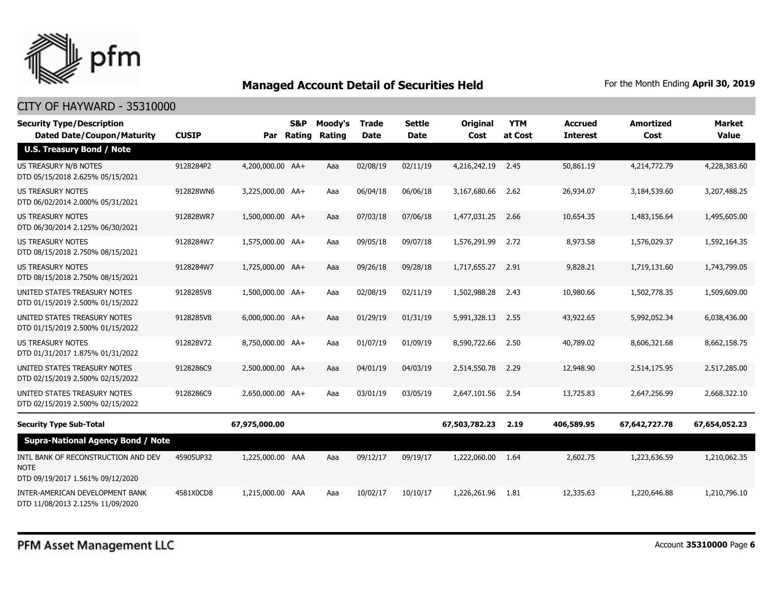

| <b>Security Type/Description</b><br><b>Dated Date/Coupon/Maturity</b>                  | <b>CUSIP</b> | Par              | S&P<br><b>Rating</b> | Moody's<br>Rating | <b>Trade</b><br><b>Date</b> | Settle<br><b>Date</b> | <b>Original</b><br>Cost | <b>YTM</b><br>at Cost | <b>Accrued</b><br><b>Interest</b> | <b>Amortized</b><br>Cost | <b>Market</b><br><b>Value</b> |
|----------------------------------------------------------------------------------------|--------------|------------------|----------------------|-------------------|-----------------------------|-----------------------|-------------------------|-----------------------|-----------------------------------|--------------------------|-------------------------------|
| <b>U.S. Treasury Bond / Note</b>                                                       |              |                  |                      |                   |                             |                       |                         |                       |                                   |                          |                               |
| US TREASURY N/B NOTES<br>DTD 05/15/2018 2.625% 05/15/2021                              | 9128284P2    | 4,200,000.00 AA+ |                      | Aaa               | 02/08/19                    | 02/11/19              | 4,216,242.19            | 2.45                  | 50,861.19                         | 4,214,772.79             | 4,228,383.60                  |
| US TREASURY NOTES<br>DTD 06/02/2014 2.000% 05/31/2021                                  | 912828WN6    | 3,225,000.00 AA+ |                      | Aaa               | 06/04/18                    | 06/06/18              | 3,167,680.66            | 2.62                  | 26,934.07                         | 3,184,539.60             | 3,207,488.25                  |
| <b>US TREASURY NOTES</b><br>DTD 06/30/2014 2.125% 06/30/2021                           | 912828WR7    | 1,500,000.00 AA+ |                      | Aaa               | 07/03/18                    | 07/06/18              | 1,477,031.25            | 2.66                  | 10,654.35                         | 1,483,156.64             | 1,495,605.00                  |
| US TREASURY NOTES<br>DTD 08/15/2018 2.750% 08/15/2021                                  | 9128284W7    | 1,575,000.00 AA+ |                      | Aaa               | 09/05/18                    | 09/07/18              | 1,576,291.99            | 2.72                  | 8,973.58                          | 1,576,029.37             | 1,592,164.35                  |
| <b>US TREASURY NOTES</b><br>DTD 08/15/2018 2.750% 08/15/2021                           | 9128284W7    | 1,725,000.00 AA+ |                      | Aaa               | 09/26/18                    | 09/28/18              | 1,717,655,27            | 2.91                  | 9,828.21                          | 1,719,131.60             | 1,743,799.05                  |
| UNITED STATES TREASURY NOTES<br>DTD 01/15/2019 2.500% 01/15/2022                       | 9128285V8    | 1,500,000.00 AA+ |                      | Aaa               | 02/08/19                    | 02/11/19              | 1,502,988.28            | 2.43                  | 10,980.66                         | 1,502,778.35             | 1,509,609.00                  |
| UNITED STATES TREASURY NOTES<br>DTD 01/15/2019 2.500% 01/15/2022                       | 9128285V8    | 6,000,000.00 AA+ |                      | Aaa               | 01/29/19                    | 01/31/19              | 5,991,328.13            | 2.55                  | 43,922.65                         | 5,992,052.34             | 6,038,436,00                  |
| <b>US TREASURY NOTES</b><br>DTD 01/31/2017 1.875% 01/31/2022                           | 912828V72    | 8,750,000.00 AA+ |                      | Aaa               | 01/07/19                    | 01/09/19              | 8,590,722.66            | 2.50                  | 40,789.02                         | 8,606,321.68             | 8,662,158.75                  |
| UNITED STATES TREASURY NOTES<br>DTD 02/15/2019 2.500% 02/15/2022                       | 9128286C9    | 2,500,000.00 AA+ |                      | Aaa               | 04/01/19                    | 04/03/19              | 2,514,550.78            | 2.29                  | 12,948.90                         | 2,514,175.95             | 2,517,285.00                  |
| UNITED STATES TREASURY NOTES<br>DTD 02/15/2019 2.500% 02/15/2022                       | 9128286C9    | 2,650,000.00 AA+ |                      | Aaa               | 03/01/19                    | 03/05/19              | 2,647,101.56            | 2.54                  | 13,725.83                         | 2,647,256.99             | 2,668,322.10                  |
| <b>Security Type Sub-Total</b>                                                         |              | 67,975,000.00    |                      |                   |                             |                       | 67,503,782.23           | 2.19                  | 406,589.95                        | 67,642,727.78            | 67,654,052.23                 |
| <b>Supra-National Agency Bond / Note</b>                                               |              |                  |                      |                   |                             |                       |                         |                       |                                   |                          |                               |
| INTL BANK OF RECONSTRUCTION AND DEV<br><b>NOTE</b><br>DTD 09/19/2017 1.561% 09/12/2020 | 45905UP32    | 1,225,000.00 AAA |                      | Aaa               | 09/12/17                    | 09/19/17              | 1,222,060.00            | 1.64                  | 2,602.75                          | 1,223,636.59             | 1,210,062.35                  |
| INTER-AMERICAN DEVELOPMENT BANK<br>DTD 11/08/2013 2.125% 11/09/2020                    | 4581X0CD8    | 1,215,000.00 AAA |                      | Aaa               | 10/02/17                    | 10/10/17              | 1,226,261.96            | 1.81                  | 12,335.63                         | 1,220,646.88             | 1,210,796.10                  |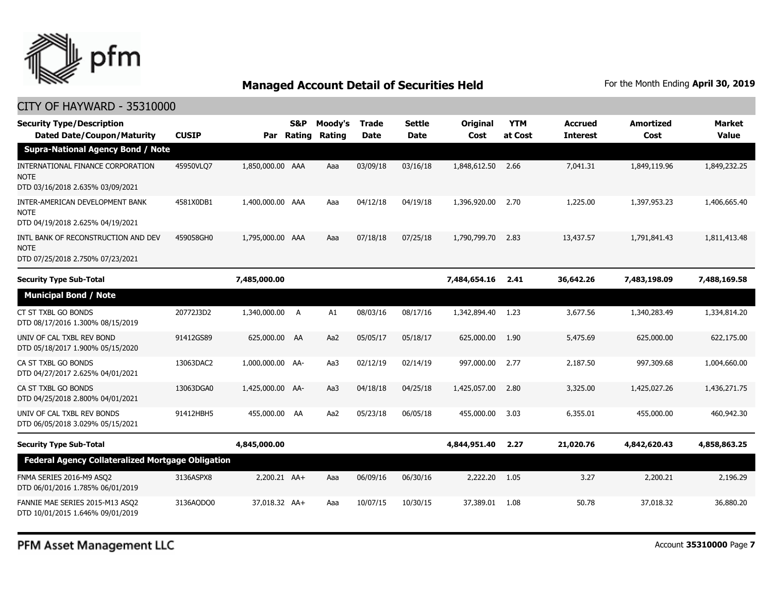

| <b>Security Type/Description</b><br><b>Dated Date/Coupon/Maturity</b>                  | <b>CUSIP</b> | Par              | S&P<br>Rating | Moody's<br>Rating | <b>Trade</b><br><b>Date</b> | <b>Settle</b><br><b>Date</b> | Original<br>Cost | <b>YTM</b><br>at Cost | <b>Accrued</b><br><b>Interest</b> | <b>Amortized</b><br>Cost | <b>Market</b><br><b>Value</b> |
|----------------------------------------------------------------------------------------|--------------|------------------|---------------|-------------------|-----------------------------|------------------------------|------------------|-----------------------|-----------------------------------|--------------------------|-------------------------------|
| <b>Supra-National Agency Bond / Note</b>                                               |              |                  |               |                   |                             |                              |                  |                       |                                   |                          |                               |
| INTERNATIONAL FINANCE CORPORATION<br><b>NOTE</b><br>DTD 03/16/2018 2.635% 03/09/2021   | 45950VLQ7    | 1,850,000.00 AAA |               | Aaa               | 03/09/18                    | 03/16/18                     | 1,848,612.50     | 2.66                  | 7,041.31                          | 1,849,119.96             | 1,849,232.25                  |
| INTER-AMERICAN DEVELOPMENT BANK<br><b>NOTE</b><br>DTD 04/19/2018 2.625% 04/19/2021     | 4581X0DB1    | 1,400,000.00 AAA |               | Aaa               | 04/12/18                    | 04/19/18                     | 1,396,920.00     | 2.70                  | 1,225.00                          | 1,397,953.23             | 1,406,665.40                  |
| INTL BANK OF RECONSTRUCTION AND DEV<br><b>NOTE</b><br>DTD 07/25/2018 2.750% 07/23/2021 | 459058GH0    | 1,795,000.00 AAA |               | Aaa               | 07/18/18                    | 07/25/18                     | 1,790,799.70     | 2.83                  | 13,437.57                         | 1,791,841.43             | 1,811,413.48                  |
| <b>Security Type Sub-Total</b>                                                         |              | 7,485,000.00     |               |                   |                             |                              | 7,484,654.16     | 2.41                  | 36,642.26                         | 7,483,198.09             | 7,488,169.58                  |
| <b>Municipal Bond / Note</b>                                                           |              |                  |               |                   |                             |                              |                  |                       |                                   |                          |                               |
| CT ST TXBL GO BONDS<br>DTD 08/17/2016 1.300% 08/15/2019                                | 20772J3D2    | 1,340,000.00     | A             | A1                | 08/03/16                    | 08/17/16                     | 1,342,894.40     | 1.23                  | 3,677.56                          | 1,340,283.49             | 1,334,814.20                  |
| UNIV OF CAL TXBL REV BOND<br>DTD 05/18/2017 1.900% 05/15/2020                          | 91412GS89    | 625,000.00       | AA            | Aa2               | 05/05/17                    | 05/18/17                     | 625,000.00       | 1.90                  | 5,475.69                          | 625,000.00               | 622,175.00                    |
| CA ST TXBL GO BONDS<br>DTD 04/27/2017 2.625% 04/01/2021                                | 13063DAC2    | 1,000,000.00 AA- |               | Aa3               | 02/12/19                    | 02/14/19                     | 997,000.00       | 2.77                  | 2,187.50                          | 997,309.68               | 1,004,660.00                  |
| CA ST TXBL GO BONDS<br>DTD 04/25/2018 2.800% 04/01/2021                                | 13063DGA0    | 1,425,000.00 AA- |               | Aa3               | 04/18/18                    | 04/25/18                     | 1,425,057.00     | 2.80                  | 3,325.00                          | 1,425,027.26             | 1,436,271.75                  |
| UNIV OF CAL TXBL REV BONDS<br>DTD 06/05/2018 3.029% 05/15/2021                         | 91412HBH5    | 455,000.00 AA    |               | Aa2               | 05/23/18                    | 06/05/18                     | 455,000.00       | 3.03                  | 6,355.01                          | 455,000.00               | 460,942.30                    |
| <b>Security Type Sub-Total</b>                                                         |              | 4,845,000.00     |               |                   |                             |                              | 4,844,951.40     | 2.27                  | 21,020.76                         | 4,842,620.43             | 4,858,863.25                  |
| <b>Federal Agency Collateralized Mortgage Obligation</b>                               |              |                  |               |                   |                             |                              |                  |                       |                                   |                          |                               |
| FNMA SERIES 2016-M9 ASQ2<br>DTD 06/01/2016 1.785% 06/01/2019                           | 3136ASPX8    | 2,200.21 AA+     |               | Aaa               | 06/09/16                    | 06/30/16                     | 2,222.20         | - 1.05                | 3.27                              | 2,200.21                 | 2,196.29                      |
| FANNIE MAE SERIES 2015-M13 ASQ2<br>DTD 10/01/2015 1.646% 09/01/2019                    | 3136AQDQ0    | 37,018.32 AA+    |               | Aaa               | 10/07/15                    | 10/30/15                     | 37,389.01        | 1.08                  | 50.78                             | 37,018.32                | 36,880.20                     |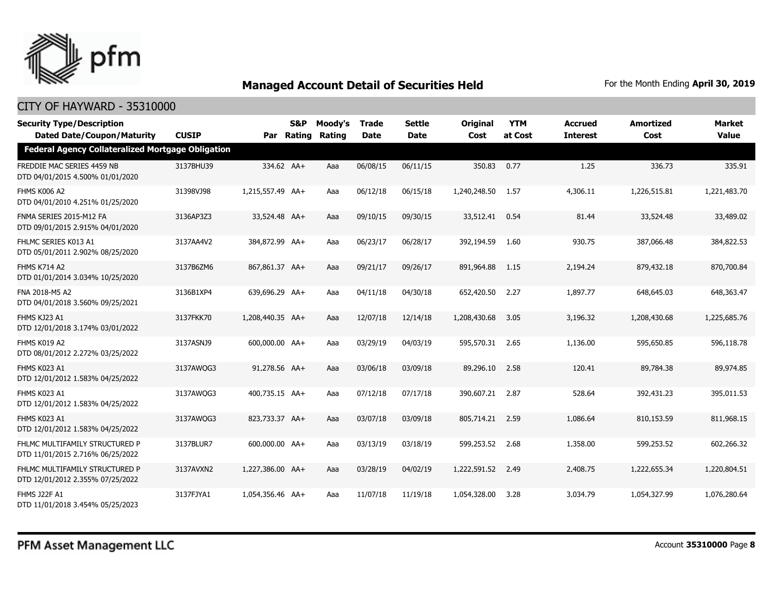

| <b>Security Type/Description</b><br><b>Dated Date/Coupon/Maturity</b> | <b>CUSIP</b> | Par              | <b>S&amp;P</b><br><b>Rating</b> | Moody's<br>Rating | <b>Trade</b><br><b>Date</b> | Settle<br><b>Date</b> | <b>Original</b><br>Cost | <b>YTM</b><br>at Cost | <b>Accrued</b><br><b>Interest</b> | <b>Amortized</b><br>Cost | <b>Market</b><br><b>Value</b> |
|-----------------------------------------------------------------------|--------------|------------------|---------------------------------|-------------------|-----------------------------|-----------------------|-------------------------|-----------------------|-----------------------------------|--------------------------|-------------------------------|
| <b>Federal Agency Collateralized Mortgage Obligation</b>              |              |                  |                                 |                   |                             |                       |                         |                       |                                   |                          |                               |
| FREDDIE MAC SERIES 4459 NB<br>DTD 04/01/2015 4.500% 01/01/2020        | 3137BHU39    | 334.62 AA+       |                                 | Aaa               | 06/08/15                    | 06/11/15              | 350.83                  | 0.77                  | 1.25                              | 336.73                   | 335.91                        |
| FHMS K006 A2<br>DTD 04/01/2010 4.251% 01/25/2020                      | 31398VJ98    | 1,215,557.49 AA+ |                                 | Aaa               | 06/12/18                    | 06/15/18              | 1,240,248.50            | 1.57                  | 4,306.11                          | 1,226,515.81             | 1,221,483.70                  |
| FNMA SERIES 2015-M12 FA<br>DTD 09/01/2015 2.915% 04/01/2020           | 3136AP3Z3    | 33,524.48 AA+    |                                 | Aaa               | 09/10/15                    | 09/30/15              | 33,512.41               | 0.54                  | 81.44                             | 33,524.48                | 33,489.02                     |
| FHLMC SERIES K013 A1<br>DTD 05/01/2011 2.902% 08/25/2020              | 3137AA4V2    | 384,872.99 AA+   |                                 | Aaa               | 06/23/17                    | 06/28/17              | 392,194.59              | 1.60                  | 930.75                            | 387,066.48               | 384,822.53                    |
| <b>FHMS K714 A2</b><br>DTD 01/01/2014 3.034% 10/25/2020               | 3137B6ZM6    | 867,861.37 AA+   |                                 | Aaa               | 09/21/17                    | 09/26/17              | 891,964.88              | 1.15                  | 2,194.24                          | 879,432.18               | 870,700.84                    |
| FNA 2018-M5 A2<br>DTD 04/01/2018 3.560% 09/25/2021                    | 3136B1XP4    | 639,696.29 AA+   |                                 | Aaa               | 04/11/18                    | 04/30/18              | 652,420.50              | 2.27                  | 1,897.77                          | 648,645.03               | 648,363.47                    |
| FHMS KJ23 A1<br>DTD 12/01/2018 3.174% 03/01/2022                      | 3137FKK70    | 1,208,440.35 AA+ |                                 | Aaa               | 12/07/18                    | 12/14/18              | 1,208,430.68            | 3.05                  | 3,196.32                          | 1,208,430.68             | 1,225,685.76                  |
| FHMS K019 A2<br>DTD 08/01/2012 2.272% 03/25/2022                      | 3137ASNJ9    | 600,000.00 AA+   |                                 | Aaa               | 03/29/19                    | 04/03/19              | 595,570.31              | 2.65                  | 1,136.00                          | 595,650.85               | 596,118.78                    |
| FHMS K023 A1<br>DTD 12/01/2012 1.583% 04/25/2022                      | 3137AWQG3    | 91,278.56 AA+    |                                 | Aaa               | 03/06/18                    | 03/09/18              | 89,296.10               | 2.58                  | 120.41                            | 89,784.38                | 89,974.85                     |
| FHMS K023 A1<br>DTD 12/01/2012 1.583% 04/25/2022                      | 3137AWQG3    | 400,735.15 AA+   |                                 | Aaa               | 07/12/18                    | 07/17/18              | 390,607.21              | 2.87                  | 528.64                            | 392,431.23               | 395,011.53                    |
| FHMS K023 A1<br>DTD 12/01/2012 1.583% 04/25/2022                      | 3137AWOG3    | 823,733.37 AA+   |                                 | Aaa               | 03/07/18                    | 03/09/18              | 805,714.21              | 2.59                  | 1,086.64                          | 810,153.59               | 811,968.15                    |
| FHLMC MULTIFAMILY STRUCTURED P<br>DTD 11/01/2015 2.716% 06/25/2022    | 3137BLUR7    | 600,000.00 AA+   |                                 | Aaa               | 03/13/19                    | 03/18/19              | 599,253.52              | 2.68                  | 1,358.00                          | 599,253.52               | 602,266.32                    |
| FHLMC MULTIFAMILY STRUCTURED P<br>DTD 12/01/2012 2.355% 07/25/2022    | 3137AVXN2    | 1,227,386.00 AA+ |                                 | Aaa               | 03/28/19                    | 04/02/19              | 1,222,591.52            | 2.49                  | 2,408.75                          | 1,222,655.34             | 1,220,804.51                  |
| <b>FHMS J22F A1</b><br>DTD 11/01/2018 3.454% 05/25/2023               | 3137FJYA1    | 1,054,356.46 AA+ |                                 | Aaa               | 11/07/18                    | 11/19/18              | 1,054,328.00            | 3.28                  | 3,034.79                          | 1,054,327.99             | 1,076,280.64                  |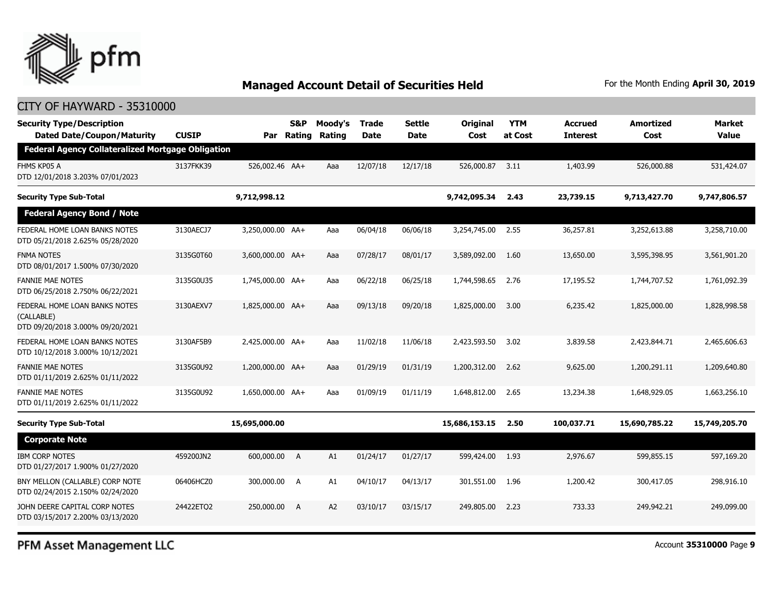

#### CITY OF HAYWARD - 35310000

| <b>S&amp;P</b><br>Par | Moody's<br>Rating                                        | <b>Trade</b><br><b>Date</b> | <b>Settle</b><br><b>Date</b> | <b>Original</b><br>Cost | <b>YTM</b><br>at Cost | <b>Accrued</b><br><b>Interest</b> | <b>Amortized</b><br>Cost | <b>Market</b><br><b>Value</b> |
|-----------------------|----------------------------------------------------------|-----------------------------|------------------------------|-------------------------|-----------------------|-----------------------------------|--------------------------|-------------------------------|
|                       |                                                          |                             |                              |                         |                       |                                   |                          |                               |
| 526,002.46 AA+        | Aaa                                                      | 12/07/18                    | 12/17/18                     | 526,000.87              | 3.11                  | 1,403.99                          | 526,000.88               | 531,424.07                    |
| 9,712,998.12          |                                                          |                             |                              | 9,742,095.34            | 2.43                  | 23,739.15                         | 9,713,427.70             | 9,747,806.57                  |
|                       |                                                          |                             |                              |                         |                       |                                   |                          |                               |
| 3,250,000.00 AA+      | Aaa                                                      | 06/04/18                    | 06/06/18                     | 3,254,745.00            | 2.55                  | 36,257.81                         | 3,252,613.88             | 3,258,710.00                  |
| 3,600,000.00 AA+      | Aaa                                                      | 07/28/17                    | 08/01/17                     | 3,589,092.00            | 1.60                  | 13,650.00                         | 3,595,398.95             | 3,561,901.20                  |
| 1,745,000.00 AA+      | Aaa                                                      | 06/22/18                    | 06/25/18                     | 1,744,598.65            | 2.76                  | 17,195.52                         | 1,744,707.52             | 1,761,092.39                  |
| 1,825,000.00 AA+      | Aaa                                                      | 09/13/18                    | 09/20/18                     | 1,825,000.00            | 3.00                  | 6,235.42                          | 1,825,000.00             | 1,828,998.58                  |
| 2,425,000.00 AA+      | Aaa                                                      | 11/02/18                    | 11/06/18                     | 2,423,593.50            | 3.02                  | 3,839.58                          | 2,423,844.71             | 2,465,606.63                  |
| 1,200,000.00 AA+      | Aaa                                                      | 01/29/19                    | 01/31/19                     | 1,200,312.00            | 2.62                  | 9,625.00                          | 1,200,291.11             | 1,209,640.80                  |
| 1,650,000.00 AA+      | Aaa                                                      | 01/09/19                    | 01/11/19                     | 1,648,812.00            | 2.65                  | 13,234.38                         | 1,648,929.05             | 1,663,256.10                  |
| 15,695,000.00         |                                                          |                             |                              | 15,686,153.15           | 2.50                  | 100,037.71                        | 15,690,785.22            | 15,749,205.70                 |
|                       |                                                          |                             |                              |                         |                       |                                   |                          |                               |
| 600,000.00<br>A       | A1                                                       | 01/24/17                    | 01/27/17                     | 599,424.00              | 1.93                  | 2,976.67                          | 599,855.15               | 597,169.20                    |
| 300,000.00<br>A       | A1                                                       | 04/10/17                    | 04/13/17                     | 301,551.00              | 1.96                  | 1,200.42                          | 300,417.05               | 298,916.10                    |
| 250,000.00<br>A       | A2                                                       | 03/10/17                    | 03/15/17                     | 249,805.00              | 2.23                  | 733.33                            | 249,942.21               | 249,099.00                    |
|                       | <b>Federal Agency Collateralized Mortgage Obligation</b> | Rating                      |                              |                         |                       |                                   |                          |                               |

PFM Asset Management LLC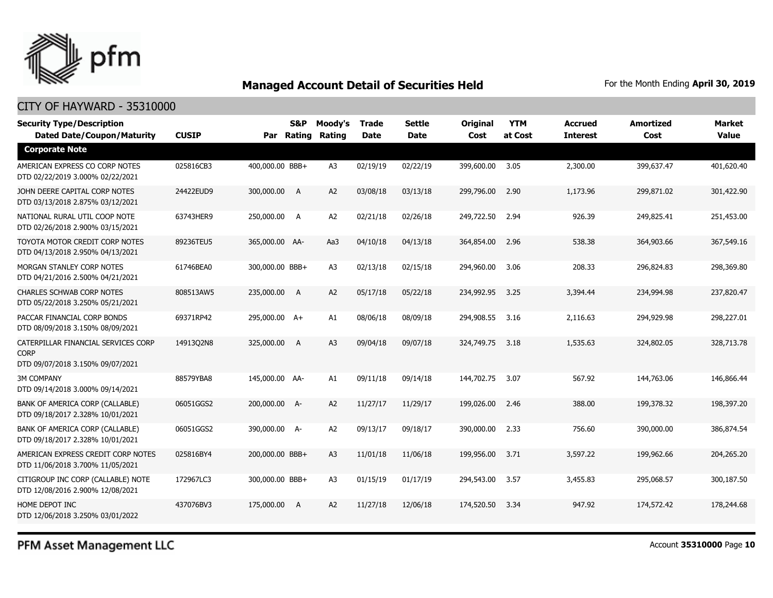

#### CITY OF HAYWARD - 35310000

| <b>Security Type/Description</b><br><b>Dated Date/Coupon/Maturity</b>                  | <b>CUSIP</b> |                 | S&P<br>Par Rating | Moody's<br>Rating | <b>Trade</b><br><b>Date</b> | <b>Settle</b><br><b>Date</b> | <b>Original</b><br>Cost | <b>YTM</b><br>at Cost | <b>Accrued</b><br><b>Interest</b> | <b>Amortized</b><br>Cost | <b>Market</b><br><b>Value</b> |
|----------------------------------------------------------------------------------------|--------------|-----------------|-------------------|-------------------|-----------------------------|------------------------------|-------------------------|-----------------------|-----------------------------------|--------------------------|-------------------------------|
| <b>Corporate Note</b>                                                                  |              |                 |                   |                   |                             |                              |                         |                       |                                   |                          |                               |
| AMERICAN EXPRESS CO CORP NOTES<br>DTD 02/22/2019 3.000% 02/22/2021                     | 025816CB3    | 400,000.00 BBB+ |                   | A <sub>3</sub>    | 02/19/19                    | 02/22/19                     | 399,600.00              | 3.05                  | 2,300.00                          | 399,637.47               | 401,620.40                    |
| JOHN DEERE CAPITAL CORP NOTES<br>DTD 03/13/2018 2.875% 03/12/2021                      | 24422EUD9    | 300,000.00 A    |                   | A <sub>2</sub>    | 03/08/18                    | 03/13/18                     | 299,796.00              | 2.90                  | 1,173.96                          | 299,871.02               | 301,422.90                    |
| NATIONAL RURAL UTIL COOP NOTE<br>DTD 02/26/2018 2.900% 03/15/2021                      | 63743HER9    | 250,000.00      | A                 | A <sub>2</sub>    | 02/21/18                    | 02/26/18                     | 249,722.50              | 2.94                  | 926.39                            | 249,825.41               | 251,453.00                    |
| TOYOTA MOTOR CREDIT CORP NOTES<br>DTD 04/13/2018 2.950% 04/13/2021                     | 89236TEU5    | 365,000.00 AA-  |                   | Aa3               | 04/10/18                    | 04/13/18                     | 364,854.00              | 2.96                  | 538.38                            | 364,903.66               | 367,549.16                    |
| MORGAN STANLEY CORP NOTES<br>DTD 04/21/2016 2.500% 04/21/2021                          | 61746BEA0    | 300,000.00 BBB+ |                   | A <sub>3</sub>    | 02/13/18                    | 02/15/18                     | 294,960.00              | 3.06                  | 208.33                            | 296,824.83               | 298,369.80                    |
| <b>CHARLES SCHWAB CORP NOTES</b><br>DTD 05/22/2018 3.250% 05/21/2021                   | 808513AW5    | 235,000.00      | A                 | A <sub>2</sub>    | 05/17/18                    | 05/22/18                     | 234,992.95              | 3.25                  | 3,394.44                          | 234,994.98               | 237,820.47                    |
| PACCAR FINANCIAL CORP BONDS<br>DTD 08/09/2018 3.150% 08/09/2021                        | 69371RP42    | 295,000.00 A+   |                   | A1                | 08/06/18                    | 08/09/18                     | 294,908.55              | 3.16                  | 2,116.63                          | 294,929.98               | 298,227.01                    |
| CATERPILLAR FINANCIAL SERVICES CORP<br><b>CORP</b><br>DTD 09/07/2018 3.150% 09/07/2021 | 14913Q2N8    | 325,000.00      | <b>A</b>          | A <sub>3</sub>    | 09/04/18                    | 09/07/18                     | 324,749.75              | 3.18                  | 1,535.63                          | 324,802.05               | 328,713.78                    |
| <b>3M COMPANY</b><br>DTD 09/14/2018 3.000% 09/14/2021                                  | 88579YBA8    | 145,000.00 AA-  |                   | A1                | 09/11/18                    | 09/14/18                     | 144,702.75              | 3.07                  | 567.92                            | 144,763.06               | 146,866.44                    |
| BANK OF AMERICA CORP (CALLABLE)<br>DTD 09/18/2017 2.328% 10/01/2021                    | 06051GGS2    | 200,000.00 A-   |                   | A2                | 11/27/17                    | 11/29/17                     | 199,026.00              | 2.46                  | 388.00                            | 199,378.32               | 198,397.20                    |
| BANK OF AMERICA CORP (CALLABLE)<br>DTD 09/18/2017 2.328% 10/01/2021                    | 06051GGS2    | 390,000.00 A-   |                   | A2                | 09/13/17                    | 09/18/17                     | 390,000.00              | 2.33                  | 756.60                            | 390,000.00               | 386,874.54                    |
| AMERICAN EXPRESS CREDIT CORP NOTES<br>DTD 11/06/2018 3.700% 11/05/2021                 | 025816BY4    | 200,000.00 BBB+ |                   | A3                | 11/01/18                    | 11/06/18                     | 199,956.00              | 3.71                  | 3,597.22                          | 199,962.66               | 204,265.20                    |
| CITIGROUP INC CORP (CALLABLE) NOTE<br>DTD 12/08/2016 2.900% 12/08/2021                 | 172967LC3    | 300,000.00 BBB+ |                   | A <sub>3</sub>    | 01/15/19                    | 01/17/19                     | 294,543.00              | 3.57                  | 3,455.83                          | 295,068.57               | 300,187.50                    |
| HOME DEPOT INC<br>DTD 12/06/2018 3.250% 03/01/2022                                     | 437076BV3    | 175,000.00 A    |                   | A2                | 11/27/18                    | 12/06/18                     | 174,520.50              | 3.34                  | 947.92                            | 174,572.42               | 178,244.68                    |

PFM Asset Management LLC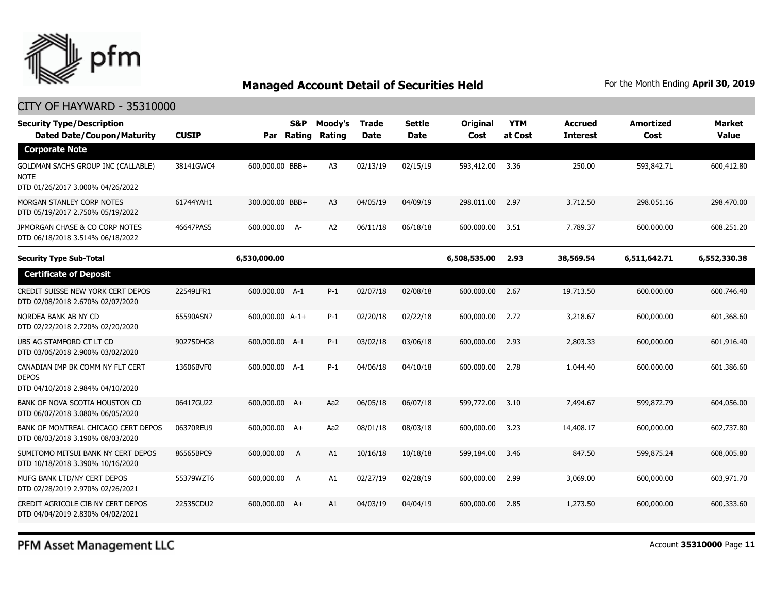

| <b>Security Type/Description</b><br><b>Dated Date/Coupon/Maturity</b>                | <b>CUSIP</b> | Par             | S&P<br>Rating | Moody's<br>Rating | <b>Trade</b><br><b>Date</b> | <b>Settle</b><br>Date | Original<br>Cost | <b>YTM</b><br>at Cost | <b>Accrued</b><br><b>Interest</b> | <b>Amortized</b><br>Cost | <b>Market</b><br><b>Value</b> |
|--------------------------------------------------------------------------------------|--------------|-----------------|---------------|-------------------|-----------------------------|-----------------------|------------------|-----------------------|-----------------------------------|--------------------------|-------------------------------|
| <b>Corporate Note</b>                                                                |              |                 |               |                   |                             |                       |                  |                       |                                   |                          |                               |
| GOLDMAN SACHS GROUP INC (CALLABLE)<br>NOTE<br>DTD 01/26/2017 3.000% 04/26/2022       | 38141GWC4    | 600,000.00 BBB+ |               | A <sub>3</sub>    | 02/13/19                    | 02/15/19              | 593,412.00       | 3.36                  | 250.00                            | 593,842.71               | 600,412.80                    |
| MORGAN STANLEY CORP NOTES<br>DTD 05/19/2017 2.750% 05/19/2022                        | 61744YAH1    | 300,000.00 BBB+ |               | A <sub>3</sub>    | 04/05/19                    | 04/09/19              | 298,011.00       | 2.97                  | 3,712.50                          | 298,051.16               | 298,470.00                    |
| JPMORGAN CHASE & CO CORP NOTES<br>DTD 06/18/2018 3.514% 06/18/2022                   | 46647PAS5    | 600,000.00 A-   |               | A <sub>2</sub>    | 06/11/18                    | 06/18/18              | 600,000.00       | 3.51                  | 7,789.37                          | 600,000.00               | 608,251.20                    |
| <b>Security Type Sub-Total</b>                                                       |              | 6,530,000.00    |               |                   |                             |                       | 6,508,535.00     | 2.93                  | 38,569.54                         | 6,511,642.71             | 6,552,330.38                  |
| <b>Certificate of Deposit</b>                                                        |              |                 |               |                   |                             |                       |                  |                       |                                   |                          |                               |
| CREDIT SUISSE NEW YORK CERT DEPOS<br>DTD 02/08/2018 2.670% 02/07/2020                | 22549LFR1    | 600,000.00 A-1  |               | $P-1$             | 02/07/18                    | 02/08/18              | 600,000.00       | 2.67                  | 19,713.50                         | 600,000.00               | 600,746.40                    |
| NORDEA BANK AB NY CD<br>DTD 02/22/2018 2.720% 02/20/2020                             | 65590ASN7    | 600,000.00 A-1+ |               | $P-1$             | 02/20/18                    | 02/22/18              | 600,000.00       | 2.72                  | 3,218.67                          | 600,000.00               | 601,368.60                    |
| UBS AG STAMFORD CT LT CD<br>DTD 03/06/2018 2.900% 03/02/2020                         | 90275DHG8    | 600,000.00 A-1  |               | $P-1$             | 03/02/18                    | 03/06/18              | 600,000,00       | 2.93                  | 2,803.33                          | 600,000,00               | 601,916.40                    |
| CANADIAN IMP BK COMM NY FLT CERT<br><b>DEPOS</b><br>DTD 04/10/2018 2.984% 04/10/2020 | 13606BVF0    | 600,000.00 A-1  |               | $P-1$             | 04/06/18                    | 04/10/18              | 600,000.00       | 2.78                  | 1,044.40                          | 600,000.00               | 601,386.60                    |
| BANK OF NOVA SCOTIA HOUSTON CD<br>DTD 06/07/2018 3.080% 06/05/2020                   | 06417GU22    | 600,000.00 A+   |               | Aa2               | 06/05/18                    | 06/07/18              | 599,772.00       | 3.10                  | 7,494.67                          | 599,872.79               | 604,056.00                    |
| BANK OF MONTREAL CHICAGO CERT DEPOS<br>DTD 08/03/2018 3.190% 08/03/2020              | 06370REU9    | 600,000.00 A+   |               | Aa2               | 08/01/18                    | 08/03/18              | 600,000.00       | 3.23                  | 14,408.17                         | 600,000.00               | 602,737.80                    |
| SUMITOMO MITSUI BANK NY CERT DEPOS<br>DTD 10/18/2018 3.390% 10/16/2020               | 86565BPC9    | 600,000.00      | A             | A1                | 10/16/18                    | 10/18/18              | 599,184.00       | 3.46                  | 847.50                            | 599,875.24               | 608,005.80                    |
| MUFG BANK LTD/NY CERT DEPOS<br>DTD 02/28/2019 2.970% 02/26/2021                      | 55379WZT6    | 600,000.00      | A             | A1                | 02/27/19                    | 02/28/19              | 600,000.00       | 2.99                  | 3,069.00                          | 600,000.00               | 603,971.70                    |
| CREDIT AGRICOLE CIB NY CERT DEPOS<br>DTD 04/04/2019 2.830% 04/02/2021                | 22535CDU2    | 600,000.00 A+   |               | A1                | 04/03/19                    | 04/04/19              | 600,000.00       | 2.85                  | 1,273.50                          | 600,000.00               | 600,333.60                    |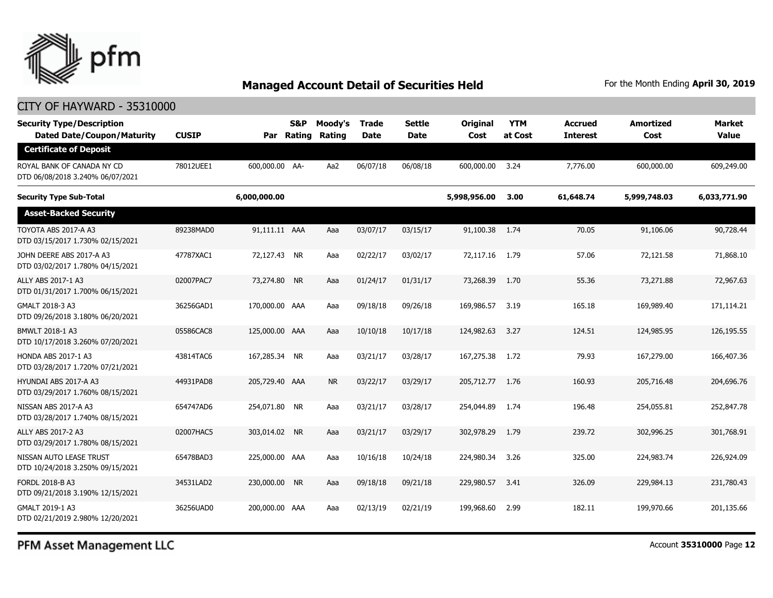

#### CITY OF HAYWARD - 35310000

| <b>Security Type/Description</b><br><b>Dated Date/Coupon/Maturity</b> | <b>CUSIP</b> | Par            | S&P<br>Rating | Moody's<br>Rating | <b>Trade</b><br><b>Date</b> | <b>Settle</b><br>Date | <b>Original</b><br>Cost | <b>YTM</b><br>at Cost | <b>Accrued</b><br><b>Interest</b> | <b>Amortized</b><br>Cost | <b>Market</b><br><b>Value</b> |
|-----------------------------------------------------------------------|--------------|----------------|---------------|-------------------|-----------------------------|-----------------------|-------------------------|-----------------------|-----------------------------------|--------------------------|-------------------------------|
| <b>Certificate of Deposit</b>                                         |              |                |               |                   |                             |                       |                         |                       |                                   |                          |                               |
| ROYAL BANK OF CANADA NY CD<br>DTD 06/08/2018 3.240% 06/07/2021        | 78012UEE1    | 600,000.00 AA- |               | Aa2               | 06/07/18                    | 06/08/18              | 600,000.00              | 3.24                  | 7,776.00                          | 600,000.00               | 609,249.00                    |
| <b>Security Type Sub-Total</b>                                        |              | 6,000,000.00   |               |                   |                             |                       | 5,998,956.00            | 3.00                  | 61,648.74                         | 5,999,748.03             | 6,033,771.90                  |
| <b>Asset-Backed Security</b>                                          |              |                |               |                   |                             |                       |                         |                       |                                   |                          |                               |
| TOYOTA ABS 2017-A A3<br>DTD 03/15/2017 1.730% 02/15/2021              | 89238MAD0    | 91,111.11 AAA  |               | Aaa               | 03/07/17                    | 03/15/17              | 91,100.38               | 1.74                  | 70.05                             | 91,106.06                | 90,728.44                     |
| JOHN DEERE ABS 2017-A A3<br>DTD 03/02/2017 1.780% 04/15/2021          | 47787XAC1    | 72,127.43 NR   |               | Aaa               | 02/22/17                    | 03/02/17              | 72,117.16               | 1.79                  | 57.06                             | 72,121.58                | 71,868.10                     |
| ALLY ABS 2017-1 A3<br>DTD 01/31/2017 1.700% 06/15/2021                | 02007PAC7    | 73,274.80 NR   |               | Aaa               | 01/24/17                    | 01/31/17              | 73,268.39               | 1.70                  | 55.36                             | 73,271.88                | 72,967.63                     |
| GMALT 2018-3 A3<br>DTD 09/26/2018 3.180% 06/20/2021                   | 36256GAD1    | 170,000.00 AAA |               | Aaa               | 09/18/18                    | 09/26/18              | 169,986.57              | 3.19                  | 165.18                            | 169,989.40               | 171,114.21                    |
| <b>BMWLT 2018-1 A3</b><br>DTD 10/17/2018 3.260% 07/20/2021            | 05586CAC8    | 125,000.00 AAA |               | Aaa               | 10/10/18                    | 10/17/18              | 124,982.63              | 3.27                  | 124.51                            | 124,985.95               | 126,195.55                    |
| <b>HONDA ABS 2017-1 A3</b><br>DTD 03/28/2017 1.720% 07/21/2021        | 43814TAC6    | 167,285.34 NR  |               | Aaa               | 03/21/17                    | 03/28/17              | 167,275.38              | 1.72                  | 79.93                             | 167,279.00               | 166,407.36                    |
| HYUNDAI ABS 2017-A A3<br>DTD 03/29/2017 1.760% 08/15/2021             | 44931PAD8    | 205,729.40 AAA |               | <b>NR</b>         | 03/22/17                    | 03/29/17              | 205,712.77              | 1.76                  | 160.93                            | 205,716.48               | 204,696.76                    |
| NISSAN ABS 2017-A A3<br>DTD 03/28/2017 1.740% 08/15/2021              | 654747AD6    | 254,071.80 NR  |               | Aaa               | 03/21/17                    | 03/28/17              | 254,044.89              | 1.74                  | 196.48                            | 254,055.81               | 252,847.78                    |
| ALLY ABS 2017-2 A3<br>DTD 03/29/2017 1.780% 08/15/2021                | 02007HAC5    | 303,014.02 NR  |               | Aaa               | 03/21/17                    | 03/29/17              | 302,978.29              | 1.79                  | 239.72                            | 302,996.25               | 301,768.91                    |
| NISSAN AUTO LEASE TRUST<br>DTD 10/24/2018 3.250% 09/15/2021           | 65478BAD3    | 225,000.00 AAA |               | Aaa               | 10/16/18                    | 10/24/18              | 224,980.34              | 3.26                  | 325.00                            | 224,983,74               | 226,924.09                    |
| <b>FORDL 2018-B A3</b><br>DTD 09/21/2018 3.190% 12/15/2021            | 34531LAD2    | 230,000.00 NR  |               | Aaa               | 09/18/18                    | 09/21/18              | 229,980.57              | 3.41                  | 326.09                            | 229,984.13               | 231,780.43                    |
| GMALT 2019-1 A3<br>DTD 02/21/2019 2.980% 12/20/2021                   | 36256UAD0    | 200,000,00 AAA |               | Aaa               | 02/13/19                    | 02/21/19              | 199,968.60              | 2.99                  | 182.11                            | 199,970.66               | 201,135.66                    |

PFM Asset Management LLC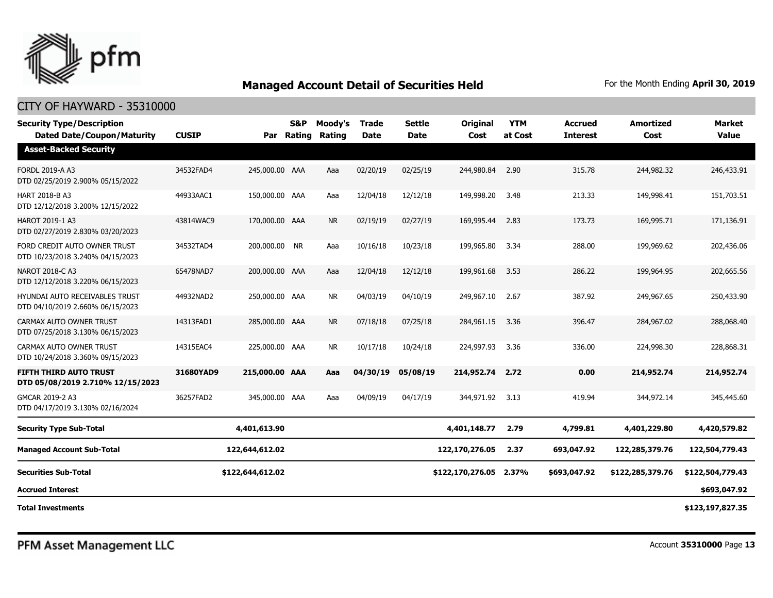

#### CITY OF HAYWARD - 35310000

| <b>Security Type/Description</b><br><b>Dated Date/Coupon/Maturity</b>     | <b>CUSIP</b> |                  | <b>S&amp;P</b><br>Par Rating | Moody's<br>Rating | <b>Trade</b><br><b>Date</b> | <b>Settle</b><br><b>Date</b> | Original<br>Cost       | <b>YTM</b><br>at Cost | <b>Accrued</b><br><b>Interest</b> | <b>Amortized</b><br>Cost | <b>Market</b><br><b>Value</b> |
|---------------------------------------------------------------------------|--------------|------------------|------------------------------|-------------------|-----------------------------|------------------------------|------------------------|-----------------------|-----------------------------------|--------------------------|-------------------------------|
| <b>Asset-Backed Security</b>                                              |              |                  |                              |                   |                             |                              |                        |                       |                                   |                          |                               |
| <b>FORDL 2019-A A3</b><br>DTD 02/25/2019 2.900% 05/15/2022                | 34532FAD4    | 245,000.00 AAA   |                              | Aaa               | 02/20/19                    | 02/25/19                     | 244,980.84             | 2.90                  | 315.78                            | 244,982.32               | 246,433.91                    |
| <b>HART 2018-B A3</b><br>DTD 12/12/2018 3.200% 12/15/2022                 | 44933AAC1    | 150,000.00 AAA   |                              | Aaa               | 12/04/18                    | 12/12/18                     | 149,998.20             | 3.48                  | 213.33                            | 149,998.41               | 151,703.51                    |
| <b>HAROT 2019-1 A3</b><br>DTD 02/27/2019 2.830% 03/20/2023                | 43814WAC9    | 170,000.00 AAA   |                              | <b>NR</b>         | 02/19/19                    | 02/27/19                     | 169,995.44             | 2.83                  | 173.73                            | 169,995.71               | 171,136.91                    |
| FORD CREDIT AUTO OWNER TRUST<br>DTD 10/23/2018 3.240% 04/15/2023          | 34532TAD4    | 200,000.00 NR    |                              | Aaa               | 10/16/18                    | 10/23/18                     | 199,965.80             | 3.34                  | 288.00                            | 199,969.62               | 202,436.06                    |
| <b>NAROT 2018-C A3</b><br>DTD 12/12/2018 3.220% 06/15/2023                | 65478NAD7    | 200,000.00 AAA   |                              | Aaa               | 12/04/18                    | 12/12/18                     | 199,961.68             | 3.53                  | 286.22                            | 199,964.95               | 202,665.56                    |
| <b>HYUNDAI AUTO RECEIVABLES TRUST</b><br>DTD 04/10/2019 2.660% 06/15/2023 | 44932NAD2    | 250,000.00 AAA   |                              | <b>NR</b>         | 04/03/19                    | 04/10/19                     | 249,967.10             | 2.67                  | 387.92                            | 249,967.65               | 250,433.90                    |
| CARMAX AUTO OWNER TRUST<br>DTD 07/25/2018 3.130% 06/15/2023               | 14313FAD1    | 285,000.00 AAA   |                              | <b>NR</b>         | 07/18/18                    | 07/25/18                     | 284,961.15             | 3.36                  | 396.47                            | 284,967.02               | 288,068.40                    |
| CARMAX AUTO OWNER TRUST<br>DTD 10/24/2018 3.360% 09/15/2023               | 14315EAC4    | 225,000.00 AAA   |                              | <b>NR</b>         | 10/17/18                    | 10/24/18                     | 224,997.93             | 3.36                  | 336.00                            | 224,998.30               | 228,868.31                    |
| FIFTH THIRD AUTO TRUST<br>DTD 05/08/2019 2.710% 12/15/2023                | 31680YAD9    | 215,000.00 AAA   |                              | Aaa               | 04/30/19                    | 05/08/19                     | 214,952.74             | 2.72                  | 0.00                              | 214,952.74               | 214,952.74                    |
| GMCAR 2019-2 A3<br>DTD 04/17/2019 3.130% 02/16/2024                       | 36257FAD2    | 345,000.00 AAA   |                              | Aaa               | 04/09/19                    | 04/17/19                     | 344,971.92             | 3.13                  | 419.94                            | 344,972.14               | 345,445.60                    |
| <b>Security Type Sub-Total</b>                                            |              | 4,401,613.90     |                              |                   |                             |                              | 4,401,148.77           | 2.79                  | 4,799.81                          | 4,401,229.80             | 4,420,579.82                  |
| <b>Managed Account Sub-Total</b>                                          |              | 122,644,612.02   |                              |                   |                             |                              | 122,170,276.05         | 2.37                  | 693,047.92                        | 122,285,379.76           | 122,504,779.43                |
| <b>Securities Sub-Total</b>                                               |              | \$122,644,612.02 |                              |                   |                             |                              | \$122,170,276.05 2.37% |                       | \$693,047.92                      | \$122,285,379.76         | \$122,504,779.43              |
| <b>Accrued Interest</b>                                                   |              |                  |                              |                   |                             |                              |                        |                       |                                   |                          | \$693,047.92                  |
| <b>Total Investments</b>                                                  |              |                  |                              |                   |                             |                              |                        |                       |                                   |                          | \$123,197,827.35              |

PFM Asset Management LLC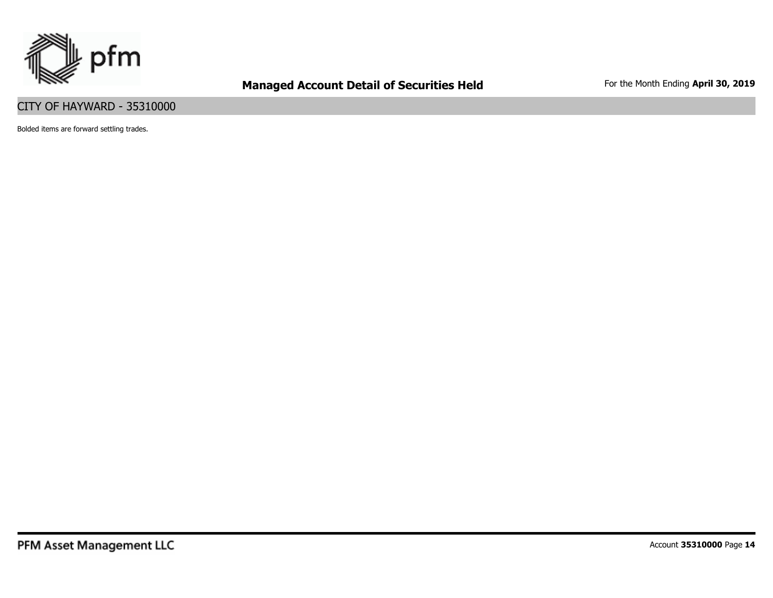

#### CITY OF HAYWARD - 35310000

Bolded items are forward settling trades.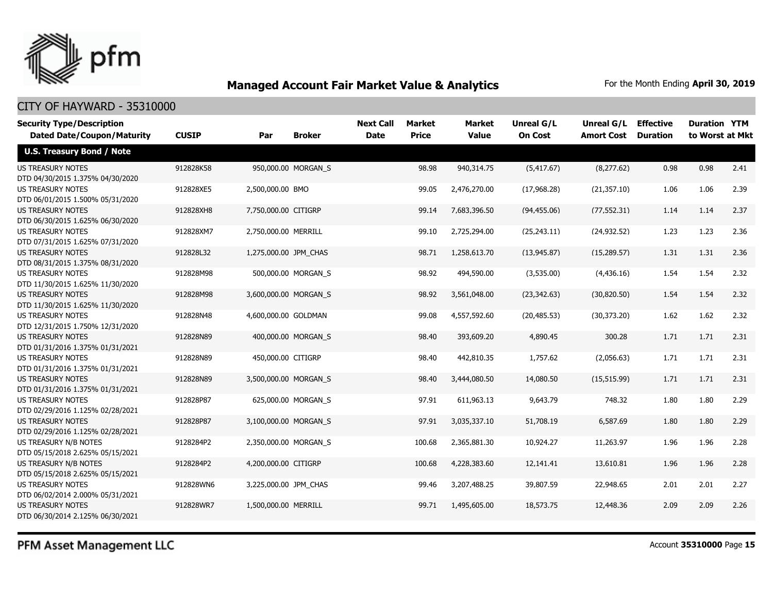

#### CITY OF HAYWARD - 35310000

| <b>Security Type/Description</b>                             |              |                       |                     | <b>Next Call</b> | <b>Market</b> | Market       | Unreal G/L     | Unreal G/L        | <b>Effective</b> | <b>Duration YTM</b> |      |
|--------------------------------------------------------------|--------------|-----------------------|---------------------|------------------|---------------|--------------|----------------|-------------------|------------------|---------------------|------|
| <b>Dated Date/Coupon/Maturity</b>                            | <b>CUSIP</b> | Par                   | <b>Broker</b>       | <b>Date</b>      | <b>Price</b>  | <b>Value</b> | <b>On Cost</b> | <b>Amort Cost</b> | <b>Duration</b>  | to Worst at Mkt     |      |
| <b>U.S. Treasury Bond / Note</b>                             |              |                       |                     |                  |               |              |                |                   |                  |                     |      |
| <b>US TREASURY NOTES</b>                                     | 912828K58    |                       | 950,000.00 MORGAN_S |                  | 98.98         | 940,314.75   | (5,417.67)     | (8, 277.62)       | 0.98             | 0.98                | 2.41 |
| DTD 04/30/2015 1.375% 04/30/2020                             |              |                       |                     |                  |               |              |                |                   |                  |                     |      |
| US TREASURY NOTES                                            | 912828XE5    | 2,500,000.00 BMO      |                     |                  | 99.05         | 2,476,270.00 | (17,968.28)    | (21, 357.10)      | 1.06             | 1.06                | 2.39 |
| DTD 06/01/2015 1.500% 05/31/2020                             |              |                       |                     |                  |               |              |                |                   |                  |                     |      |
| US TREASURY NOTES                                            | 912828XH8    | 7,750,000.00 CITIGRP  |                     |                  | 99.14         | 7,683,396.50 | (94, 455.06)   | (77, 552.31)      | 1.14             | 1.14                | 2.37 |
| DTD 06/30/2015 1.625% 06/30/2020                             |              |                       |                     |                  |               |              |                |                   |                  |                     |      |
| <b>US TREASURY NOTES</b>                                     | 912828XM7    | 2,750,000.00 MERRILL  |                     |                  | 99.10         | 2,725,294.00 | (25, 243.11)   | (24, 932.52)      | 1.23             | 1.23                | 2.36 |
| DTD 07/31/2015 1.625% 07/31/2020                             |              |                       |                     |                  |               |              |                |                   |                  |                     |      |
| <b>US TREASURY NOTES</b>                                     | 912828L32    | 1,275,000.00 JPM_CHAS |                     |                  | 98.71         | 1,258,613.70 | (13,945.87)    | (15,289.57)       | 1.31             | 1.31                | 2.36 |
| DTD 08/31/2015 1.375% 08/31/2020                             |              |                       |                     |                  |               |              |                |                   |                  |                     |      |
| <b>US TREASURY NOTES</b>                                     | 912828M98    |                       | 500,000.00 MORGAN_S |                  | 98.92         | 494,590.00   | (3,535.00)     | (4,436.16)        | 1.54             | 1.54                | 2.32 |
| DTD 11/30/2015 1.625% 11/30/2020                             |              |                       |                     |                  |               |              |                |                   |                  |                     |      |
| <b>US TREASURY NOTES</b>                                     | 912828M98    | 3,600,000.00 MORGAN S |                     |                  | 98.92         | 3,561,048.00 | (23, 342.63)   | (30, 820.50)      | 1.54             | 1.54                | 2.32 |
| DTD 11/30/2015 1.625% 11/30/2020                             |              |                       |                     |                  |               |              |                |                   |                  |                     |      |
| <b>US TREASURY NOTES</b>                                     | 912828N48    | 4,600,000.00 GOLDMAN  |                     |                  | 99.08         | 4,557,592.60 | (20, 485.53)   | (30, 373.20)      | 1.62             | 1.62                | 2.32 |
| DTD 12/31/2015 1.750% 12/31/2020                             |              |                       |                     |                  |               |              |                |                   |                  |                     |      |
| <b>US TREASURY NOTES</b>                                     | 912828N89    |                       | 400,000.00 MORGAN S |                  | 98.40         | 393,609.20   | 4,890.45       | 300.28            | 1.71             | 1.71                | 2.31 |
| DTD 01/31/2016 1.375% 01/31/2021                             |              |                       |                     |                  |               |              |                |                   |                  |                     |      |
| <b>US TREASURY NOTES</b>                                     | 912828N89    | 450,000.00 CITIGRP    |                     |                  | 98.40         | 442,810.35   | 1,757.62       | (2,056.63)        | 1.71             | 1.71                | 2.31 |
| DTD 01/31/2016 1.375% 01/31/2021                             |              |                       |                     |                  |               |              |                |                   |                  |                     |      |
| <b>US TREASURY NOTES</b>                                     | 912828N89    | 3,500,000.00 MORGAN_S |                     |                  | 98.40         | 3,444,080.50 | 14,080.50      | (15, 515.99)      | 1.71             | 1.71                | 2.31 |
| DTD 01/31/2016 1.375% 01/31/2021                             |              |                       |                     |                  |               |              |                |                   |                  |                     |      |
| <b>US TREASURY NOTES</b>                                     | 912828P87    |                       | 625,000.00 MORGAN S |                  | 97.91         | 611,963.13   | 9,643.79       | 748.32            | 1.80             | 1.80                | 2.29 |
| DTD 02/29/2016 1.125% 02/28/2021                             |              |                       |                     |                  |               |              |                |                   |                  |                     |      |
| <b>US TREASURY NOTES</b>                                     | 912828P87    | 3,100,000.00 MORGAN_S |                     |                  | 97.91         | 3,035,337.10 | 51,708.19      | 6,587.69          | 1.80             | 1.80                | 2.29 |
| DTD 02/29/2016 1.125% 02/28/2021                             |              |                       |                     |                  |               |              |                |                   |                  |                     |      |
| US TREASURY N/B NOTES                                        | 9128284P2    | 2,350,000.00 MORGAN S |                     |                  | 100.68        | 2,365,881.30 | 10,924.27      | 11,263.97         | 1.96             | 1.96                | 2.28 |
| DTD 05/15/2018 2.625% 05/15/2021                             |              |                       |                     |                  |               |              |                |                   |                  |                     |      |
| US TREASURY N/B NOTES                                        | 9128284P2    | 4,200,000.00 CITIGRP  |                     |                  | 100.68        | 4,228,383.60 | 12,141.41      | 13,610.81         | 1.96             | 1.96                | 2.28 |
| DTD 05/15/2018 2.625% 05/15/2021<br><b>US TREASURY NOTES</b> |              |                       |                     |                  |               |              |                |                   |                  | 2.01                |      |
|                                                              | 912828WN6    | 3,225,000.00 JPM_CHAS |                     |                  | 99.46         | 3,207,488.25 | 39,807.59      | 22,948.65         | 2.01             |                     | 2.27 |
| DTD 06/02/2014 2.000% 05/31/2021<br><b>US TREASURY NOTES</b> | 912828WR7    | 1,500,000.00 MERRILL  |                     |                  | 99.71         | 1,495,605.00 | 18,573.75      | 12,448.36         | 2.09             | 2.09                | 2.26 |
|                                                              |              |                       |                     |                  |               |              |                |                   |                  |                     |      |
| DTD 06/30/2014 2.125% 06/30/2021                             |              |                       |                     |                  |               |              |                |                   |                  |                     |      |

PFM Asset Management LLC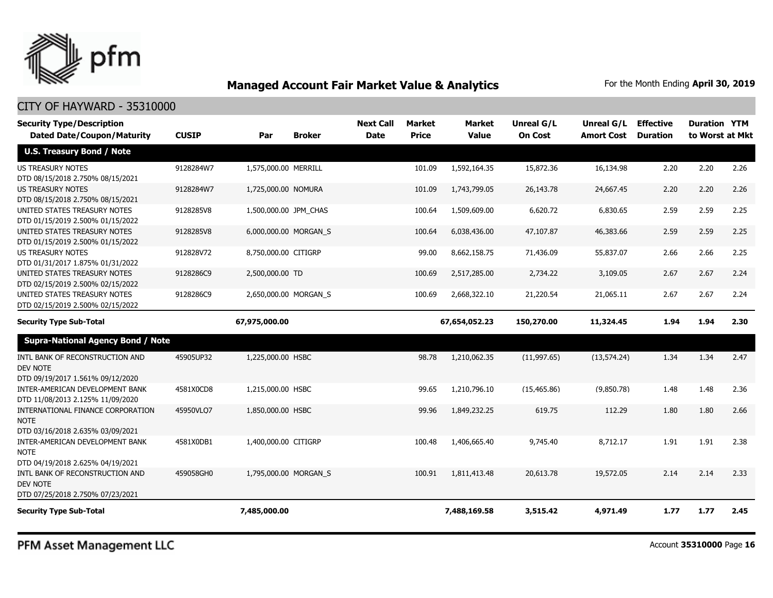

#### CITY OF HAYWARD - 35310000

| <b>Security Type/Description</b><br><b>Dated Date/Coupon/Maturity</b>                                                      | <b>CUSIP</b> | Par                   | <b>Broker</b> | <b>Next Call</b><br><b>Date</b> | <b>Market</b><br><b>Price</b> | <b>Market</b><br><b>Value</b> | Unreal G/L<br><b>On Cost</b> | Unreal G/L<br><b>Amort Cost</b> | <b>Effective</b><br><b>Duration</b> | <b>Duration YTM</b><br>to Worst at Mkt |      |
|----------------------------------------------------------------------------------------------------------------------------|--------------|-----------------------|---------------|---------------------------------|-------------------------------|-------------------------------|------------------------------|---------------------------------|-------------------------------------|----------------------------------------|------|
| <b>U.S. Treasury Bond / Note</b>                                                                                           |              |                       |               |                                 |                               |                               |                              |                                 |                                     |                                        |      |
| <b>US TREASURY NOTES</b><br>DTD 08/15/2018 2.750% 08/15/2021                                                               | 9128284W7    | 1,575,000.00 MERRILL  |               |                                 | 101.09                        | 1,592,164.35                  | 15,872.36                    | 16,134.98                       | 2.20                                | 2.20                                   | 2.26 |
| US TREASURY NOTES<br>DTD 08/15/2018 2.750% 08/15/2021                                                                      | 9128284W7    | 1,725,000.00 NOMURA   |               |                                 | 101.09                        | 1,743,799.05                  | 26,143.78                    | 24,667.45                       | 2.20                                | 2.20                                   | 2.26 |
| UNITED STATES TREASURY NOTES<br>DTD 01/15/2019 2.500% 01/15/2022                                                           | 9128285V8    | 1,500,000.00 JPM_CHAS |               |                                 | 100.64                        | 1,509,609.00                  | 6,620.72                     | 6,830.65                        | 2.59                                | 2.59                                   | 2.25 |
| UNITED STATES TREASURY NOTES<br>DTD 01/15/2019 2.500% 01/15/2022                                                           | 9128285V8    | 6,000,000.00 MORGAN_S |               |                                 | 100.64                        | 6,038,436.00                  | 47,107.87                    | 46,383.66                       | 2.59                                | 2.59                                   | 2.25 |
| <b>US TREASURY NOTES</b><br>DTD 01/31/2017 1.875% 01/31/2022                                                               | 912828V72    | 8,750,000.00 CITIGRP  |               |                                 | 99.00                         | 8,662,158.75                  | 71,436.09                    | 55,837.07                       | 2.66                                | 2.66                                   | 2.25 |
| UNITED STATES TREASURY NOTES<br>DTD 02/15/2019 2.500% 02/15/2022                                                           | 9128286C9    | 2,500,000.00 TD       |               |                                 | 100.69                        | 2,517,285.00                  | 2,734.22                     | 3,109.05                        | 2.67                                | 2.67                                   | 2.24 |
| UNITED STATES TREASURY NOTES<br>DTD 02/15/2019 2.500% 02/15/2022                                                           | 9128286C9    | 2,650,000.00 MORGAN S |               |                                 | 100.69                        | 2,668,322.10                  | 21,220.54                    | 21,065.11                       | 2.67                                | 2.67                                   | 2.24 |
| <b>Security Type Sub-Total</b>                                                                                             |              | 67,975,000.00         |               |                                 |                               | 67,654,052.23                 | 150,270.00                   | 11,324.45                       | 1.94                                | 1.94                                   | 2.30 |
| <b>Supra-National Agency Bond / Note</b>                                                                                   |              |                       |               |                                 |                               |                               |                              |                                 |                                     |                                        |      |
| INTL BANK OF RECONSTRUCTION AND<br><b>DEV NOTE</b><br>DTD 09/19/2017 1.561% 09/12/2020                                     | 45905UP32    | 1,225,000.00 HSBC     |               |                                 | 98.78                         | 1,210,062.35                  | (11, 997.65)                 | (13, 574.24)                    | 1.34                                | 1.34                                   | 2.47 |
| INTER-AMERICAN DEVELOPMENT BANK<br>DTD 11/08/2013 2.125% 11/09/2020                                                        | 4581X0CD8    | 1,215,000.00 HSBC     |               |                                 | 99.65                         | 1,210,796.10                  | (15, 465.86)                 | (9,850.78)                      | 1.48                                | 1.48                                   | 2.36 |
| INTERNATIONAL FINANCE CORPORATION<br><b>NOTE</b><br>DTD 03/16/2018 2.635% 03/09/2021                                       | 45950VLQ7    | 1,850,000.00 HSBC     |               |                                 | 99.96                         | 1,849,232.25                  | 619.75                       | 112.29                          | 1.80                                | 1.80                                   | 2.66 |
| INTER-AMERICAN DEVELOPMENT BANK<br><b>NOTE</b>                                                                             | 4581X0DB1    | 1,400,000.00 CITIGRP  |               |                                 | 100.48                        | 1,406,665.40                  | 9,745.40                     | 8,712.17                        | 1.91                                | 1.91                                   | 2.38 |
| DTD 04/19/2018 2.625% 04/19/2021<br>INTL BANK OF RECONSTRUCTION AND<br><b>DEV NOTE</b><br>DTD 07/25/2018 2.750% 07/23/2021 | 459058GH0    | 1,795,000.00 MORGAN S |               |                                 | 100.91                        | 1,811,413,48                  | 20,613.78                    | 19,572.05                       | 2.14                                | 2.14                                   | 2.33 |
| <b>Security Type Sub-Total</b>                                                                                             |              | 7,485,000.00          |               |                                 |                               | 7,488,169.58                  | 3,515.42                     | 4,971.49                        | 1.77                                | 1.77                                   | 2.45 |

PFM Asset Management LLC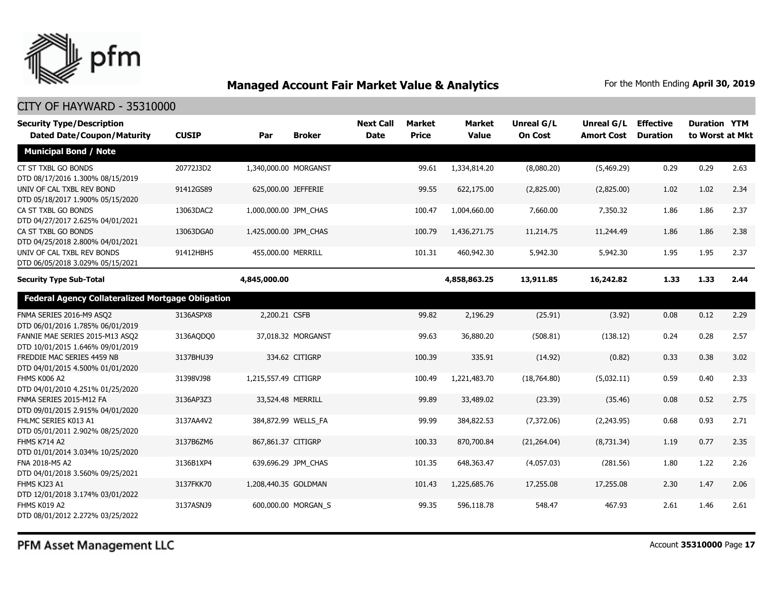

| <b>Security Type/Description</b>                                    |              |                       |                     | <b>Next Call</b> | <b>Market</b> | Market       | Unreal G/L     | Unreal G/L        | <b>Effective</b> | <b>Duration YTM</b> |      |
|---------------------------------------------------------------------|--------------|-----------------------|---------------------|------------------|---------------|--------------|----------------|-------------------|------------------|---------------------|------|
| <b>Dated Date/Coupon/Maturity</b>                                   | <b>CUSIP</b> | Par                   | <b>Broker</b>       | <b>Date</b>      | <b>Price</b>  | <b>Value</b> | <b>On Cost</b> | <b>Amort Cost</b> | <b>Duration</b>  | to Worst at Mkt     |      |
| <b>Municipal Bond / Note</b>                                        |              |                       |                     |                  |               |              |                |                   |                  |                     |      |
| CT ST TXBL GO BONDS<br>DTD 08/17/2016 1.300% 08/15/2019             | 20772J3D2    | 1,340,000.00 MORGANST |                     |                  | 99.61         | 1,334,814.20 | (8,080.20)     | (5,469.29)        | 0.29             | 0.29                | 2.63 |
| UNIV OF CAL TXBL REV BOND<br>DTD 05/18/2017 1.900% 05/15/2020       | 91412GS89    | 625,000.00 JEFFERIE   |                     |                  | 99.55         | 622,175.00   | (2,825.00)     | (2,825.00)        | 1.02             | 1.02                | 2.34 |
| CA ST TXBL GO BONDS<br>DTD 04/27/2017 2.625% 04/01/2021             | 13063DAC2    | 1,000,000.00 JPM CHAS |                     |                  | 100.47        | 1,004,660.00 | 7,660.00       | 7,350.32          | 1.86             | 1.86                | 2.37 |
| CA ST TXBL GO BONDS<br>DTD 04/25/2018 2.800% 04/01/2021             | 13063DGA0    | 1,425,000.00 JPM CHAS |                     |                  | 100.79        | 1,436,271.75 | 11,214.75      | 11,244.49         | 1.86             | 1.86                | 2.38 |
| UNIV OF CAL TXBL REV BONDS<br>DTD 06/05/2018 3.029% 05/15/2021      | 91412HBH5    | 455,000.00 MERRILL    |                     |                  | 101.31        | 460,942.30   | 5,942.30       | 5,942.30          | 1.95             | 1.95                | 2.37 |
| <b>Security Type Sub-Total</b>                                      |              | 4,845,000.00          |                     |                  |               | 4,858,863.25 | 13,911.85      | 16,242.82         | 1.33             | 1.33                | 2.44 |
| <b>Federal Agency Collateralized Mortgage Obligation</b>            |              |                       |                     |                  |               |              |                |                   |                  |                     |      |
| FNMA SERIES 2016-M9 ASQ2<br>DTD 06/01/2016 1.785% 06/01/2019        | 3136ASPX8    | 2,200.21 CSFB         |                     |                  | 99.82         | 2,196.29     | (25.91)        | (3.92)            | 0.08             | 0.12                | 2.29 |
| FANNIE MAE SERIES 2015-M13 ASQ2<br>DTD 10/01/2015 1.646% 09/01/2019 | 3136AQDQ0    |                       | 37,018.32 MORGANST  |                  | 99.63         | 36,880.20    | (508.81)       | (138.12)          | 0.24             | 0.28                | 2.57 |
| FREDDIE MAC SERIES 4459 NB<br>DTD 04/01/2015 4.500% 01/01/2020      | 3137BHU39    |                       | 334.62 CITIGRP      |                  | 100.39        | 335.91       | (14.92)        | (0.82)            | 0.33             | 0.38                | 3.02 |
| FHMS K006 A2<br>DTD 04/01/2010 4.251% 01/25/2020                    | 31398VJ98    | 1,215,557.49 CITIGRP  |                     |                  | 100.49        | 1,221,483.70 | (18,764.80)    | (5,032.11)        | 0.59             | 0.40                | 2.33 |
| FNMA SERIES 2015-M12 FA<br>DTD 09/01/2015 2.915% 04/01/2020         | 3136AP3Z3    | 33,524.48 MERRILL     |                     |                  | 99.89         | 33,489.02    | (23.39)        | (35.46)           | 0.08             | 0.52                | 2.75 |
| FHLMC SERIES K013 A1<br>DTD 05/01/2011 2.902% 08/25/2020            | 3137AA4V2    |                       | 384,872.99 WELLS_FA |                  | 99.99         | 384,822.53   | (7,372.06)     | (2,243.95)        | 0.68             | 0.93                | 2.71 |
| <b>FHMS K714 A2</b><br>DTD 01/01/2014 3.034% 10/25/2020             | 3137B6ZM6    | 867,861.37 CITIGRP    |                     |                  | 100.33        | 870,700.84   | (21, 264.04)   | (8,731.34)        | 1.19             | 0.77                | 2.35 |
| FNA 2018-M5 A2<br>DTD 04/01/2018 3.560% 09/25/2021                  | 3136B1XP4    |                       | 639,696.29 JPM_CHAS |                  | 101.35        | 648,363.47   | (4,057.03)     | (281.56)          | 1.80             | 1.22                | 2.26 |
| FHMS KJ23 A1<br>DTD 12/01/2018 3.174% 03/01/2022                    | 3137FKK70    | 1,208,440.35 GOLDMAN  |                     |                  | 101.43        | 1,225,685.76 | 17,255.08      | 17,255.08         | 2.30             | 1.47                | 2.06 |
| FHMS K019 A2<br>DTD 08/01/2012 2.272% 03/25/2022                    | 3137ASNJ9    |                       | 600,000.00 MORGAN S |                  | 99.35         | 596,118.78   | 548.47         | 467.93            | 2.61             | 1.46                | 2.61 |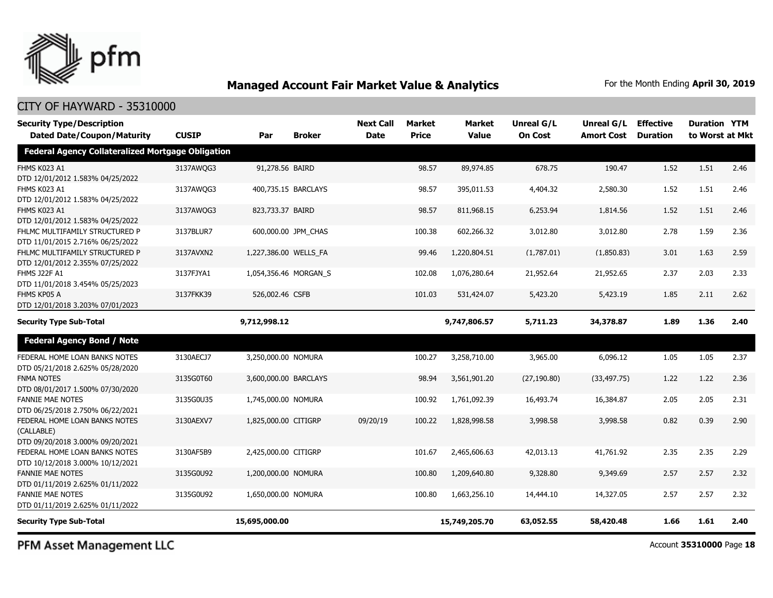

#### CITY OF HAYWARD - 35310000

| <b>Security Type/Description</b><br><b>Dated Date/Coupon/Maturity</b>           | <b>CUSIP</b> | Par                   | <b>Broker</b>       | <b>Next Call</b><br><b>Date</b> | Market<br><b>Price</b> | Market<br><b>Value</b> | Unreal G/L<br><b>On Cost</b> | Unreal G/L<br><b>Amort Cost</b> | <b>Effective</b><br><b>Duration</b> | <b>Duration YTM</b><br>to Worst at Mkt |      |
|---------------------------------------------------------------------------------|--------------|-----------------------|---------------------|---------------------------------|------------------------|------------------------|------------------------------|---------------------------------|-------------------------------------|----------------------------------------|------|
| <b>Federal Agency Collateralized Mortgage Obligation</b>                        |              |                       |                     |                                 |                        |                        |                              |                                 |                                     |                                        |      |
| FHMS K023 A1<br>DTD 12/01/2012 1.583% 04/25/2022                                | 3137AWQG3    | 91,278.56 BAIRD       |                     |                                 | 98.57                  | 89,974.85              | 678.75                       | 190.47                          | 1.52                                | 1.51                                   | 2.46 |
| FHMS K023 A1<br>DTD 12/01/2012 1.583% 04/25/2022                                | 3137AWQG3    |                       | 400,735.15 BARCLAYS |                                 | 98.57                  | 395,011.53             | 4,404.32                     | 2,580.30                        | 1.52                                | 1.51                                   | 2.46 |
| FHMS K023 A1<br>DTD 12/01/2012 1.583% 04/25/2022                                | 3137AWQG3    | 823,733.37 BAIRD      |                     |                                 | 98.57                  | 811,968.15             | 6,253.94                     | 1,814.56                        | 1.52                                | 1.51                                   | 2.46 |
| FHLMC MULTIFAMILY STRUCTURED P<br>DTD 11/01/2015 2.716% 06/25/2022              | 3137BLUR7    |                       | 600,000.00 JPM_CHAS |                                 | 100.38                 | 602,266.32             | 3,012.80                     | 3,012.80                        | 2.78                                | 1.59                                   | 2.36 |
| FHLMC MULTIFAMILY STRUCTURED P<br>DTD 12/01/2012 2.355% 07/25/2022              | 3137AVXN2    | 1,227,386.00 WELLS FA |                     |                                 | 99.46                  | 1,220,804.51           | (1,787.01)                   | (1,850.83)                      | 3.01                                | 1.63                                   | 2.59 |
| <b>FHMS J22F A1</b><br>DTD 11/01/2018 3.454% 05/25/2023                         | 3137FJYA1    | 1,054,356.46 MORGAN_S |                     |                                 | 102.08                 | 1,076,280.64           | 21,952.64                    | 21,952.65                       | 2.37                                | 2.03                                   | 2.33 |
| FHMS KP05 A<br>DTD 12/01/2018 3.203% 07/01/2023                                 | 3137FKK39    | 526,002.46 CSFB       |                     |                                 | 101.03                 | 531,424.07             | 5,423.20                     | 5,423.19                        | 1.85                                | 2.11                                   | 2.62 |
| <b>Security Type Sub-Total</b>                                                  |              | 9,712,998.12          |                     |                                 |                        | 9,747,806.57           | 5,711.23                     | 34,378.87                       | 1.89                                | 1.36                                   | 2.40 |
| <b>Federal Agency Bond / Note</b>                                               |              |                       |                     |                                 |                        |                        |                              |                                 |                                     |                                        |      |
| FEDERAL HOME LOAN BANKS NOTES<br>DTD 05/21/2018 2.625% 05/28/2020               | 3130AECJ7    | 3,250,000.00 NOMURA   |                     |                                 | 100.27                 | 3,258,710.00           | 3,965.00                     | 6,096.12                        | 1.05                                | 1.05                                   | 2.37 |
| <b>FNMA NOTES</b><br>DTD 08/01/2017 1.500% 07/30/2020                           | 3135G0T60    | 3,600,000.00 BARCLAYS |                     |                                 | 98.94                  | 3,561,901.20           | (27, 190.80)                 | (33, 497.75)                    | 1.22                                | 1.22                                   | 2.36 |
| <b>FANNIE MAE NOTES</b><br>DTD 06/25/2018 2.750% 06/22/2021                     | 3135G0U35    | 1,745,000.00 NOMURA   |                     |                                 | 100.92                 | 1,761,092.39           | 16,493.74                    | 16,384.87                       | 2.05                                | 2.05                                   | 2.31 |
| FEDERAL HOME LOAN BANKS NOTES<br>(CALLABLE)<br>DTD 09/20/2018 3.000% 09/20/2021 | 3130AEXV7    | 1,825,000.00 CITIGRP  |                     | 09/20/19                        | 100.22                 | 1,828,998.58           | 3,998.58                     | 3,998.58                        | 0.82                                | 0.39                                   | 2.90 |
| FEDERAL HOME LOAN BANKS NOTES<br>DTD 10/12/2018 3.000% 10/12/2021               | 3130AF5B9    | 2,425,000.00 CITIGRP  |                     |                                 | 101.67                 | 2,465,606.63           | 42,013.13                    | 41,761.92                       | 2.35                                | 2.35                                   | 2.29 |
| <b>FANNIE MAE NOTES</b><br>DTD 01/11/2019 2.625% 01/11/2022                     | 3135G0U92    | 1,200,000.00 NOMURA   |                     |                                 | 100.80                 | 1,209,640.80           | 9,328.80                     | 9,349.69                        | 2.57                                | 2.57                                   | 2.32 |
| <b>FANNIE MAE NOTES</b><br>DTD 01/11/2019 2.625% 01/11/2022                     | 3135G0U92    | 1,650,000.00 NOMURA   |                     |                                 | 100.80                 | 1,663,256.10           | 14,444.10                    | 14,327.05                       | 2.57                                | 2.57                                   | 2.32 |
| <b>Security Type Sub-Total</b>                                                  |              | 15,695,000.00         |                     |                                 |                        | 15,749,205.70          | 63,052.55                    | 58,420.48                       | 1.66                                | 1.61                                   | 2.40 |

PFM Asset Management LLC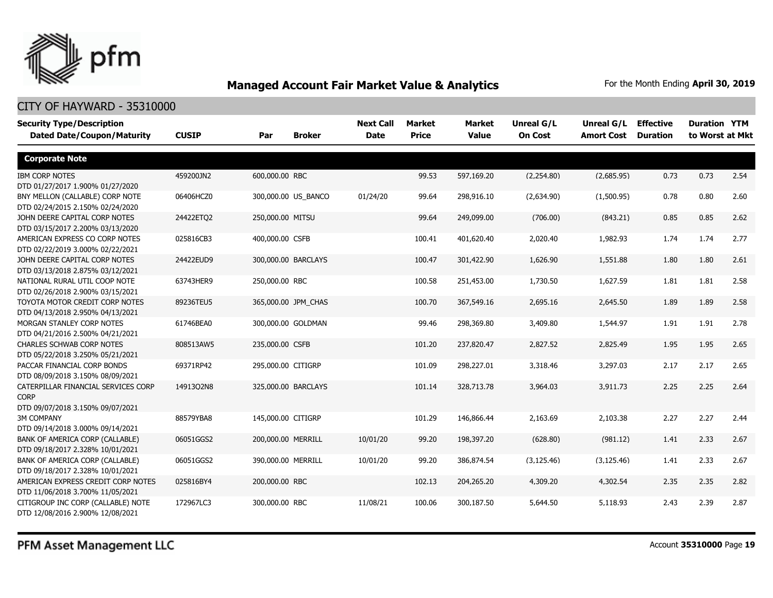

| <b>Security Type/Description</b><br><b>Dated Date/Coupon/Maturity</b>  | <b>CUSIP</b> | Par                | <b>Broker</b>       | <b>Next Call</b><br><b>Date</b> | <b>Market</b><br><b>Price</b> | Market<br><b>Value</b> | <b>Unreal G/L</b><br><b>On Cost</b> | Unreal G/L<br><b>Amort Cost</b> | <b>Effective</b><br><b>Duration</b> | <b>Duration YTM</b><br>to Worst at Mkt |      |
|------------------------------------------------------------------------|--------------|--------------------|---------------------|---------------------------------|-------------------------------|------------------------|-------------------------------------|---------------------------------|-------------------------------------|----------------------------------------|------|
| <b>Corporate Note</b>                                                  |              |                    |                     |                                 |                               |                        |                                     |                                 |                                     |                                        |      |
| <b>IBM CORP NOTES</b>                                                  | 459200JN2    | 600,000.00 RBC     |                     |                                 | 99.53                         | 597,169.20             | (2,254.80)                          | (2,685.95)                      | 0.73                                | 0.73                                   | 2.54 |
| DTD 01/27/2017 1.900% 01/27/2020                                       |              |                    |                     |                                 |                               |                        |                                     |                                 |                                     |                                        |      |
| BNY MELLON (CALLABLE) CORP NOTE                                        | 06406HCZ0    |                    | 300,000.00 US_BANCO | 01/24/20                        | 99.64                         | 298,916.10             | (2,634.90)                          | (1,500.95)                      | 0.78                                | 0.80                                   | 2.60 |
| DTD 02/24/2015 2.150% 02/24/2020                                       |              |                    |                     |                                 |                               |                        |                                     |                                 |                                     |                                        |      |
| JOHN DEERE CAPITAL CORP NOTES                                          | 24422ETQ2    | 250,000.00 MITSU   |                     |                                 | 99.64                         | 249,099.00             | (706.00)                            | (843.21)                        | 0.85                                | 0.85                                   | 2.62 |
| DTD 03/15/2017 2.200% 03/13/2020                                       |              |                    |                     |                                 |                               |                        |                                     |                                 |                                     |                                        |      |
| AMERICAN EXPRESS CO CORP NOTES                                         | 025816CB3    | 400,000.00 CSFB    |                     |                                 | 100.41                        | 401,620.40             | 2,020.40                            | 1,982.93                        | 1.74                                | 1.74                                   | 2.77 |
| DTD 02/22/2019 3.000% 02/22/2021                                       |              |                    |                     |                                 |                               |                        |                                     |                                 |                                     |                                        |      |
| JOHN DEERE CAPITAL CORP NOTES                                          | 24422EUD9    |                    | 300,000.00 BARCLAYS |                                 | 100.47                        | 301,422.90             | 1,626.90                            | 1,551.88                        | 1.80                                | 1.80                                   | 2.61 |
| DTD 03/13/2018 2.875% 03/12/2021                                       |              |                    |                     |                                 |                               |                        |                                     |                                 |                                     |                                        |      |
| NATIONAL RURAL UTIL COOP NOTE                                          | 63743HER9    | 250,000.00 RBC     |                     |                                 | 100.58                        | 251,453.00             | 1,730.50                            | 1,627.59                        | 1.81                                | 1.81                                   | 2.58 |
| DTD 02/26/2018 2.900% 03/15/2021                                       |              |                    |                     |                                 |                               |                        |                                     |                                 |                                     |                                        |      |
| TOYOTA MOTOR CREDIT CORP NOTES                                         | 89236TEU5    |                    | 365,000.00 JPM CHAS |                                 | 100.70                        | 367,549.16             | 2,695.16                            | 2,645.50                        | 1.89                                | 1.89                                   | 2.58 |
| DTD 04/13/2018 2.950% 04/13/2021                                       |              |                    |                     |                                 |                               |                        |                                     |                                 |                                     |                                        |      |
| MORGAN STANLEY CORP NOTES                                              | 61746BEA0    |                    | 300,000.00 GOLDMAN  |                                 | 99.46                         | 298,369.80             | 3,409.80                            | 1,544.97                        | 1.91                                | 1.91                                   | 2.78 |
| DTD 04/21/2016 2.500% 04/21/2021                                       |              |                    |                     |                                 |                               |                        |                                     |                                 |                                     |                                        |      |
| <b>CHARLES SCHWAB CORP NOTES</b>                                       | 808513AW5    | 235,000.00 CSFB    |                     |                                 | 101.20                        | 237,820.47             | 2,827.52                            | 2,825.49                        | 1.95                                | 1.95                                   | 2.65 |
| DTD 05/22/2018 3.250% 05/21/2021                                       |              |                    |                     |                                 |                               |                        |                                     |                                 |                                     |                                        |      |
| PACCAR FINANCIAL CORP BONDS                                            | 69371RP42    | 295,000.00 CITIGRP |                     |                                 | 101.09                        | 298,227.01             | 3,318.46                            | 3,297.03                        | 2.17                                | 2.17                                   | 2.65 |
| DTD 08/09/2018 3.150% 08/09/2021                                       |              |                    |                     |                                 |                               |                        |                                     |                                 |                                     |                                        |      |
| CATERPILLAR FINANCIAL SERVICES CORP                                    | 14913Q2N8    |                    | 325,000.00 BARCLAYS |                                 | 101.14                        | 328,713.78             | 3,964.03                            | 3,911.73                        | 2.25                                | 2.25                                   | 2.64 |
| <b>CORP</b>                                                            |              |                    |                     |                                 |                               |                        |                                     |                                 |                                     |                                        |      |
| DTD 09/07/2018 3.150% 09/07/2021                                       |              |                    |                     |                                 |                               |                        |                                     |                                 |                                     |                                        |      |
| <b>3M COMPANY</b>                                                      | 88579YBA8    | 145,000.00 CITIGRP |                     |                                 | 101.29                        | 146,866.44             | 2,163.69                            | 2,103.38                        | 2.27                                | 2.27                                   | 2.44 |
| DTD 09/14/2018 3.000% 09/14/2021                                       |              |                    |                     |                                 |                               |                        |                                     |                                 |                                     |                                        |      |
| BANK OF AMERICA CORP (CALLABLE)                                        | 06051GGS2    | 200,000.00 MERRILL |                     | 10/01/20                        | 99.20                         | 198,397.20             | (628.80)                            | (981.12)                        | 1.41                                | 2.33                                   | 2.67 |
| DTD 09/18/2017 2.328% 10/01/2021                                       |              |                    |                     |                                 |                               |                        |                                     |                                 |                                     |                                        |      |
| BANK OF AMERICA CORP (CALLABLE)                                        | 06051GGS2    | 390,000.00 MERRILL |                     | 10/01/20                        | 99.20                         | 386,874.54             | (3, 125.46)                         | (3, 125.46)                     | 1.41                                | 2.33                                   | 2.67 |
| DTD 09/18/2017 2.328% 10/01/2021                                       |              |                    |                     |                                 |                               |                        |                                     |                                 |                                     |                                        |      |
| AMERICAN EXPRESS CREDIT CORP NOTES                                     | 025816BY4    | 200,000.00 RBC     |                     |                                 | 102.13                        | 204,265.20             | 4,309.20                            | 4,302.54                        | 2.35                                | 2.35                                   | 2.82 |
| DTD 11/06/2018 3.700% 11/05/2021<br>CITIGROUP INC CORP (CALLABLE) NOTE | 172967LC3    | 300,000.00 RBC     |                     | 11/08/21                        | 100.06                        | 300,187.50             | 5,644.50                            | 5,118.93                        | 2.43                                | 2.39                                   | 2.87 |
| DTD 12/08/2016 2.900% 12/08/2021                                       |              |                    |                     |                                 |                               |                        |                                     |                                 |                                     |                                        |      |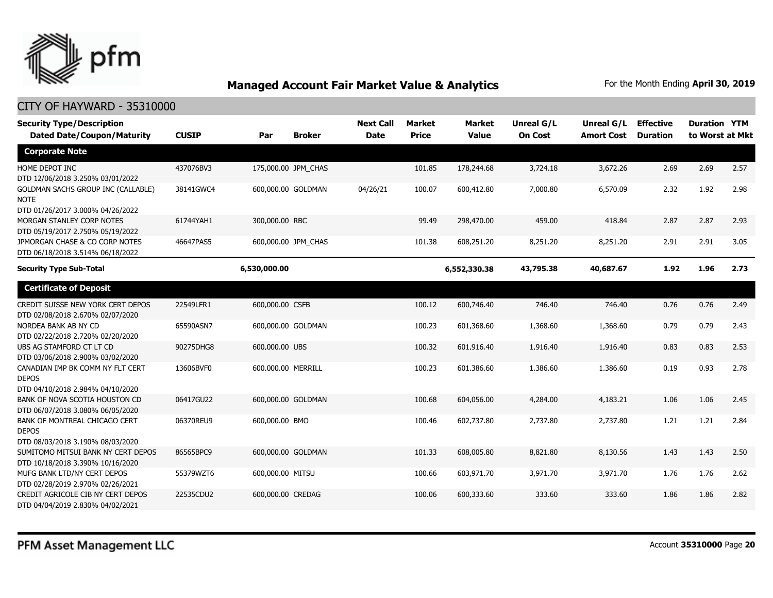

| <b>Security Type/Description</b><br><b>Dated Date/Coupon/Maturity</b>                 | <b>CUSIP</b> | Par                | <b>Broker</b>       | <b>Next Call</b><br><b>Date</b> | <b>Market</b><br><b>Price</b> | <b>Market</b><br><b>Value</b> | <b>Unreal G/L</b><br><b>On Cost</b> | Unreal G/L<br><b>Amort Cost</b> | <b>Effective</b><br><b>Duration</b> | <b>Duration YTM</b><br>to Worst at Mkt |      |
|---------------------------------------------------------------------------------------|--------------|--------------------|---------------------|---------------------------------|-------------------------------|-------------------------------|-------------------------------------|---------------------------------|-------------------------------------|----------------------------------------|------|
| <b>Corporate Note</b>                                                                 |              |                    |                     |                                 |                               |                               |                                     |                                 |                                     |                                        |      |
| HOME DEPOT INC<br>DTD 12/06/2018 3.250% 03/01/2022                                    | 437076BV3    |                    | 175,000.00 JPM_CHAS |                                 | 101.85                        | 178,244.68                    | 3,724.18                            | 3,672.26                        | 2.69                                | 2.69                                   | 2.57 |
| GOLDMAN SACHS GROUP INC (CALLABLE)<br><b>NOTE</b><br>DTD 01/26/2017 3.000% 04/26/2022 | 38141GWC4    |                    | 600,000.00 GOLDMAN  | 04/26/21                        | 100.07                        | 600,412.80                    | 7,000.80                            | 6,570.09                        | 2.32                                | 1.92                                   | 2.98 |
| MORGAN STANLEY CORP NOTES<br>DTD 05/19/2017 2.750% 05/19/2022                         | 61744YAH1    | 300,000.00 RBC     |                     |                                 | 99.49                         | 298,470.00                    | 459.00                              | 418.84                          | 2.87                                | 2.87                                   | 2.93 |
| JPMORGAN CHASE & CO CORP NOTES<br>DTD 06/18/2018 3.514% 06/18/2022                    | 46647PAS5    |                    | 600,000.00 JPM CHAS |                                 | 101.38                        | 608,251.20                    | 8,251.20                            | 8,251.20                        | 2.91                                | 2.91                                   | 3.05 |
| <b>Security Type Sub-Total</b>                                                        |              | 6,530,000.00       |                     |                                 |                               | 6,552,330.38                  | 43,795.38                           | 40,687.67                       | 1.92                                | 1.96                                   | 2.73 |
| <b>Certificate of Deposit</b>                                                         |              |                    |                     |                                 |                               |                               |                                     |                                 |                                     |                                        |      |
| CREDIT SUISSE NEW YORK CERT DEPOS<br>DTD 02/08/2018 2.670% 02/07/2020                 | 22549LFR1    | 600,000.00 CSFB    |                     |                                 | 100.12                        | 600,746.40                    | 746.40                              | 746.40                          | 0.76                                | 0.76                                   | 2.49 |
| NORDEA BANK AB NY CD<br>DTD 02/22/2018 2.720% 02/20/2020                              | 65590ASN7    |                    | 600,000.00 GOLDMAN  |                                 | 100.23                        | 601,368.60                    | 1,368.60                            | 1,368.60                        | 0.79                                | 0.79                                   | 2.43 |
| UBS AG STAMFORD CT LT CD<br>DTD 03/06/2018 2.900% 03/02/2020                          | 90275DHG8    | 600,000.00 UBS     |                     |                                 | 100.32                        | 601,916.40                    | 1,916.40                            | 1,916.40                        | 0.83                                | 0.83                                   | 2.53 |
| CANADIAN IMP BK COMM NY FLT CERT<br><b>DEPOS</b><br>DTD 04/10/2018 2.984% 04/10/2020  | 13606BVF0    | 600,000.00 MERRILL |                     |                                 | 100.23                        | 601,386.60                    | 1,386.60                            | 1,386.60                        | 0.19                                | 0.93                                   | 2.78 |
| BANK OF NOVA SCOTIA HOUSTON CD<br>DTD 06/07/2018 3.080% 06/05/2020                    | 06417GU22    |                    | 600,000.00 GOLDMAN  |                                 | 100.68                        | 604,056.00                    | 4,284.00                            | 4,183.21                        | 1.06                                | 1.06                                   | 2.45 |
| BANK OF MONTREAL CHICAGO CERT<br><b>DEPOS</b><br>DTD 08/03/2018 3.190% 08/03/2020     | 06370REU9    | 600,000.00 BMO     |                     |                                 | 100.46                        | 602,737.80                    | 2,737.80                            | 2,737.80                        | 1.21                                | 1.21                                   | 2.84 |
| SUMITOMO MITSUI BANK NY CERT DEPOS<br>DTD 10/18/2018 3.390% 10/16/2020                | 86565BPC9    |                    | 600,000.00 GOLDMAN  |                                 | 101.33                        | 608,005.80                    | 8,821.80                            | 8,130.56                        | 1.43                                | 1.43                                   | 2.50 |
| MUFG BANK LTD/NY CERT DEPOS<br>DTD 02/28/2019 2.970% 02/26/2021                       | 55379WZT6    | 600,000.00 MITSU   |                     |                                 | 100.66                        | 603,971.70                    | 3,971.70                            | 3,971.70                        | 1.76                                | 1.76                                   | 2.62 |
| CREDIT AGRICOLE CIB NY CERT DEPOS<br>DTD 04/04/2019 2.830% 04/02/2021                 | 22535CDU2    | 600,000.00 CREDAG  |                     |                                 | 100.06                        | 600,333.60                    | 333.60                              | 333.60                          | 1.86                                | 1.86                                   | 2.82 |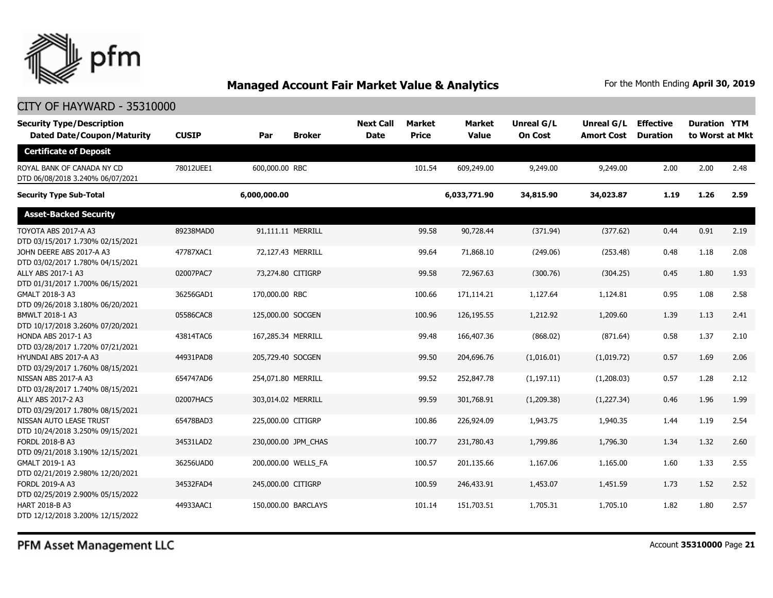

#### CITY OF HAYWARD - 35310000

| <b>Security Type/Description</b><br><b>Dated Date/Coupon/Maturity</b> | <b>CUSIP</b> | Par                 | <b>Broker</b> | <b>Next Call</b><br><b>Date</b> | Market<br><b>Price</b> | <b>Market</b><br><b>Value</b> | <b>Unreal G/L</b><br><b>On Cost</b> | Unreal G/L<br><b>Amort Cost</b> | <b>Effective</b><br><b>Duration</b> | <b>Duration YTM</b><br>to Worst at Mkt |      |
|-----------------------------------------------------------------------|--------------|---------------------|---------------|---------------------------------|------------------------|-------------------------------|-------------------------------------|---------------------------------|-------------------------------------|----------------------------------------|------|
| <b>Certificate of Deposit</b>                                         |              |                     |               |                                 |                        |                               |                                     |                                 |                                     |                                        |      |
| ROYAL BANK OF CANADA NY CD<br>DTD 06/08/2018 3.240% 06/07/2021        | 78012UEE1    | 600,000.00 RBC      |               |                                 | 101.54                 | 609,249.00                    | 9,249.00                            | 9,249.00                        | 2.00                                | 2.00                                   | 2.48 |
| <b>Security Type Sub-Total</b>                                        |              | 6,000,000.00        |               |                                 |                        | 6,033,771.90                  | 34,815.90                           | 34,023.87                       | 1.19                                | 1.26                                   | 2.59 |
| <b>Asset-Backed Security</b>                                          |              |                     |               |                                 |                        |                               |                                     |                                 |                                     |                                        |      |
| TOYOTA ABS 2017-A A3<br>DTD 03/15/2017 1.730% 02/15/2021              | 89238MAD0    | 91,111.11 MERRILL   |               |                                 | 99.58                  | 90,728.44                     | (371.94)                            | (377.62)                        | 0.44                                | 0.91                                   | 2.19 |
| JOHN DEERE ABS 2017-A A3<br>DTD 03/02/2017 1.780% 04/15/2021          | 47787XAC1    | 72,127.43 MERRILL   |               |                                 | 99.64                  | 71,868.10                     | (249.06)                            | (253.48)                        | 0.48                                | 1.18                                   | 2.08 |
| ALLY ABS 2017-1 A3<br>DTD 01/31/2017 1.700% 06/15/2021                | 02007PAC7    | 73,274.80 CITIGRP   |               |                                 | 99.58                  | 72,967.63                     | (300.76)                            | (304.25)                        | 0.45                                | 1.80                                   | 1.93 |
| GMALT 2018-3 A3<br>DTD 09/26/2018 3.180% 06/20/2021                   | 36256GAD1    | 170,000.00 RBC      |               |                                 | 100.66                 | 171,114.21                    | 1,127.64                            | 1,124.81                        | 0.95                                | 1.08                                   | 2.58 |
| BMWLT 2018-1 A3<br>DTD 10/17/2018 3.260% 07/20/2021                   | 05586CAC8    | 125,000.00 SOCGEN   |               |                                 | 100.96                 | 126,195.55                    | 1,212.92                            | 1,209.60                        | 1.39                                | 1.13                                   | 2.41 |
| HONDA ABS 2017-1 A3<br>DTD 03/28/2017 1.720% 07/21/2021               | 43814TAC6    | 167,285.34 MERRILL  |               |                                 | 99.48                  | 166,407.36                    | (868.02)                            | (871.64)                        | 0.58                                | 1.37                                   | 2.10 |
| HYUNDAI ABS 2017-A A3<br>DTD 03/29/2017 1.760% 08/15/2021             | 44931PAD8    | 205,729.40 SOCGEN   |               |                                 | 99.50                  | 204,696.76                    | (1,016.01)                          | (1,019.72)                      | 0.57                                | 1.69                                   | 2.06 |
| NISSAN ABS 2017-A A3<br>DTD 03/28/2017 1.740% 08/15/2021              | 654747AD6    | 254,071.80 MERRILL  |               |                                 | 99.52                  | 252,847.78                    | (1, 197.11)                         | (1,208.03)                      | 0.57                                | 1.28                                   | 2.12 |
| ALLY ABS 2017-2 A3<br>DTD 03/29/2017 1.780% 08/15/2021                | 02007HAC5    | 303,014.02 MERRILL  |               |                                 | 99.59                  | 301,768.91                    | (1,209.38)                          | (1,227.34)                      | 0.46                                | 1.96                                   | 1.99 |
| NISSAN AUTO LEASE TRUST<br>DTD 10/24/2018 3.250% 09/15/2021           | 65478BAD3    | 225,000.00 CITIGRP  |               |                                 | 100.86                 | 226,924.09                    | 1,943.75                            | 1,940.35                        | 1.44                                | 1.19                                   | 2.54 |
| FORDL 2018-B A3<br>DTD 09/21/2018 3.190% 12/15/2021                   | 34531LAD2    | 230,000.00 JPM CHAS |               |                                 | 100.77                 | 231,780.43                    | 1,799.86                            | 1,796.30                        | 1.34                                | 1.32                                   | 2.60 |
| GMALT 2019-1 A3<br>DTD 02/21/2019 2.980% 12/20/2021                   | 36256UAD0    | 200,000.00 WELLS FA |               |                                 | 100.57                 | 201,135.66                    | 1,167.06                            | 1,165.00                        | 1.60                                | 1.33                                   | 2.55 |
| <b>FORDL 2019-A A3</b><br>DTD 02/25/2019 2.900% 05/15/2022            | 34532FAD4    | 245,000.00 CITIGRP  |               |                                 | 100.59                 | 246,433.91                    | 1,453.07                            | 1,451.59                        | 1.73                                | 1.52                                   | 2.52 |
| HART 2018-B A3<br>DTD 12/12/2018 3.200% 12/15/2022                    | 44933AAC1    | 150,000.00 BARCLAYS |               |                                 | 101.14                 | 151,703.51                    | 1,705.31                            | 1,705.10                        | 1.82                                | 1.80                                   | 2.57 |

PFM Asset Management LLC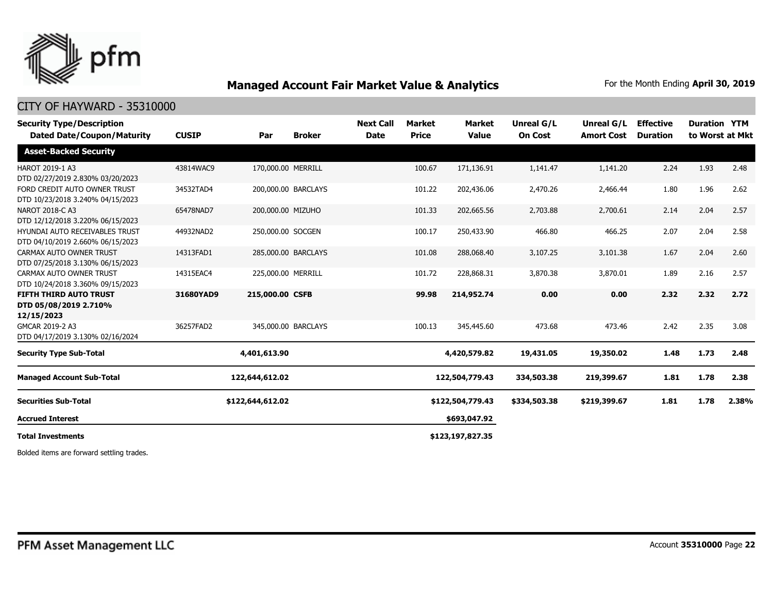

#### CITY OF HAYWARD - 35310000

| <b>Security Type/Description</b><br><b>Dated Date/Coupon/Maturity</b> | <b>CUSIP</b> | Par                | <b>Broker</b>       | <b>Next Call</b><br><b>Date</b> | <b>Market</b><br><b>Price</b> | <b>Market</b><br><b>Value</b> | <b>Unreal G/L</b><br><b>On Cost</b> | <b>Unreal G/L</b><br><b>Amort Cost</b> | <b>Effective</b><br><b>Duration</b> | <b>Duration YTM</b> | to Worst at Mkt |
|-----------------------------------------------------------------------|--------------|--------------------|---------------------|---------------------------------|-------------------------------|-------------------------------|-------------------------------------|----------------------------------------|-------------------------------------|---------------------|-----------------|
| <b>Asset-Backed Security</b>                                          |              |                    |                     |                                 |                               |                               |                                     |                                        |                                     |                     |                 |
| HAROT 2019-1 A3<br>DTD 02/27/2019 2.830% 03/20/2023                   | 43814WAC9    | 170,000.00 MERRILL |                     |                                 | 100.67                        | 171,136.91                    | 1,141.47                            | 1,141.20                               | 2.24                                | 1.93                | 2.48            |
| FORD CREDIT AUTO OWNER TRUST<br>DTD 10/23/2018 3.240% 04/15/2023      | 34532TAD4    |                    | 200,000.00 BARCLAYS |                                 | 101.22                        | 202,436.06                    | 2,470.26                            | 2,466.44                               | 1.80                                | 1.96                | 2.62            |
| NAROT 2018-C A3<br>DTD 12/12/2018 3.220% 06/15/2023                   | 65478NAD7    | 200,000.00 MIZUHO  |                     |                                 | 101.33                        | 202,665.56                    | 2,703.88                            | 2,700.61                               | 2.14                                | 2.04                | 2.57            |
| HYUNDAI AUTO RECEIVABLES TRUST<br>DTD 04/10/2019 2.660% 06/15/2023    | 44932NAD2    | 250,000.00 SOCGEN  |                     |                                 | 100.17                        | 250,433.90                    | 466.80                              | 466.25                                 | 2.07                                | 2.04                | 2.58            |
| CARMAX AUTO OWNER TRUST<br>DTD 07/25/2018 3.130% 06/15/2023           | 14313FAD1    |                    | 285,000.00 BARCLAYS |                                 | 101.08                        | 288,068.40                    | 3,107.25                            | 3,101.38                               | 1.67                                | 2.04                | 2.60            |
| CARMAX AUTO OWNER TRUST<br>DTD 10/24/2018 3.360% 09/15/2023           | 14315EAC4    | 225,000.00 MERRILL |                     |                                 | 101.72                        | 228,868.31                    | 3,870.38                            | 3,870.01                               | 1.89                                | 2.16                | 2.57            |
| <b>FIFTH THIRD AUTO TRUST</b><br>DTD 05/08/2019 2.710%<br>12/15/2023  | 31680YAD9    | 215,000.00 CSFB    |                     |                                 | 99.98                         | 214,952.74                    | 0.00                                | 0.00                                   | 2.32                                | 2.32                | 2.72            |
| GMCAR 2019-2 A3<br>DTD 04/17/2019 3.130% 02/16/2024                   | 36257FAD2    |                    | 345,000.00 BARCLAYS |                                 | 100.13                        | 345,445.60                    | 473.68                              | 473.46                                 | 2.42                                | 2.35                | 3.08            |
| <b>Security Type Sub-Total</b>                                        |              | 4,401,613.90       |                     |                                 |                               | 4,420,579.82                  | 19,431.05                           | 19,350.02                              | 1.48                                | 1.73                | 2.48            |
| <b>Managed Account Sub-Total</b>                                      |              | 122,644,612.02     |                     |                                 |                               | 122,504,779.43                | 334,503.38                          | 219,399.67                             | 1.81                                | 1.78                | 2.38            |
| <b>Securities Sub-Total</b>                                           |              | \$122,644,612.02   |                     |                                 |                               | \$122,504,779.43              | \$334,503.38                        | \$219,399.67                           | 1.81                                | 1.78                | 2.38%           |
| <b>Accrued Interest</b>                                               |              |                    |                     |                                 |                               | \$693,047.92                  |                                     |                                        |                                     |                     |                 |
| <b>Total Investments</b>                                              |              |                    |                     |                                 |                               | \$123,197,827.35              |                                     |                                        |                                     |                     |                 |

Bolded items are forward settling trades.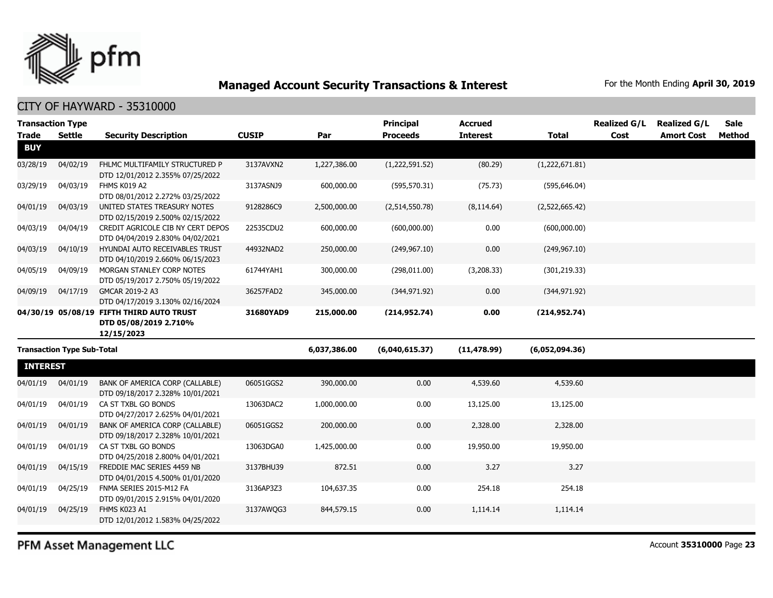

CITY OF HAYWARD - 35310000

| <b>Transaction Type</b> |                                   |                                                                                 |              |              | <b>Principal</b> | <b>Accrued</b>  |                | <b>Realized G/L</b> | <b>Realized G/L</b> | <b>Sale</b>   |
|-------------------------|-----------------------------------|---------------------------------------------------------------------------------|--------------|--------------|------------------|-----------------|----------------|---------------------|---------------------|---------------|
| <b>Trade</b>            | <b>Settle</b>                     | <b>Security Description</b>                                                     | <b>CUSIP</b> | Par          | <b>Proceeds</b>  | <b>Interest</b> | <b>Total</b>   | Cost                | <b>Amort Cost</b>   | <b>Method</b> |
| <b>BUY</b>              |                                   |                                                                                 |              |              |                  |                 |                |                     |                     |               |
| 03/28/19                | 04/02/19                          | FHLMC MULTIFAMILY STRUCTURED P<br>DTD 12/01/2012 2.355% 07/25/2022              | 3137AVXN2    | 1,227,386.00 | (1,222,591.52)   | (80.29)         | (1,222,671.81) |                     |                     |               |
| 03/29/19                | 04/03/19                          | FHMS K019 A2<br>DTD 08/01/2012 2.272% 03/25/2022                                | 3137ASNJ9    | 600,000.00   | (595, 570.31)    | (75.73)         | (595, 646.04)  |                     |                     |               |
| 04/01/19                | 04/03/19                          | UNITED STATES TREASURY NOTES<br>DTD 02/15/2019 2.500% 02/15/2022                | 9128286C9    | 2,500,000.00 | (2,514,550.78)   | (8, 114.64)     | (2,522,665.42) |                     |                     |               |
| 04/03/19                | 04/04/19                          | CREDIT AGRICOLE CIB NY CERT DEPOS<br>DTD 04/04/2019 2.830% 04/02/2021           | 22535CDU2    | 600,000.00   | (600,000.00)     | 0.00            | (600,000.00)   |                     |                     |               |
| 04/03/19                | 04/10/19                          | <b>HYUNDAI AUTO RECEIVABLES TRUST</b><br>DTD 04/10/2019 2.660% 06/15/2023       | 44932NAD2    | 250,000.00   | (249, 967.10)    | 0.00            | (249, 967.10)  |                     |                     |               |
| 04/05/19                | 04/09/19                          | MORGAN STANLEY CORP NOTES<br>DTD 05/19/2017 2.750% 05/19/2022                   | 61744YAH1    | 300,000.00   | (298, 011.00)    | (3,208.33)      | (301, 219.33)  |                     |                     |               |
| 04/09/19                | 04/17/19                          | GMCAR 2019-2 A3<br>DTD 04/17/2019 3.130% 02/16/2024                             | 36257FAD2    | 345,000.00   | (344, 971.92)    | 0.00            | (344, 971.92)  |                     |                     |               |
|                         |                                   | 04/30/19 05/08/19 FIFTH THIRD AUTO TRUST<br>DTD 05/08/2019 2.710%<br>12/15/2023 | 31680YAD9    | 215,000.00   | (214, 952.74)    | 0.00            | (214, 952.74)  |                     |                     |               |
|                         | <b>Transaction Type Sub-Total</b> |                                                                                 |              | 6,037,386.00 | (6,040,615.37)   | (11, 478.99)    | (6,052,094.36) |                     |                     |               |
| <b>INTEREST</b>         |                                   |                                                                                 |              |              |                  |                 |                |                     |                     |               |
| 04/01/19                | 04/01/19                          | BANK OF AMERICA CORP (CALLABLE)<br>DTD 09/18/2017 2.328% 10/01/2021             | 06051GGS2    | 390,000.00   | 0.00             | 4,539.60        | 4,539.60       |                     |                     |               |
| 04/01/19                | 04/01/19                          | CA ST TXBL GO BONDS<br>DTD 04/27/2017 2.625% 04/01/2021                         | 13063DAC2    | 1,000,000.00 | 0.00             | 13,125.00       | 13,125.00      |                     |                     |               |
| 04/01/19                | 04/01/19                          | BANK OF AMERICA CORP (CALLABLE)<br>DTD 09/18/2017 2.328% 10/01/2021             | 06051GGS2    | 200,000.00   | 0.00             | 2,328.00        | 2,328.00       |                     |                     |               |
| 04/01/19                | 04/01/19                          | CA ST TXBL GO BONDS<br>DTD 04/25/2018 2.800% 04/01/2021                         | 13063DGA0    | 1,425,000.00 | 0.00             | 19,950.00       | 19,950.00      |                     |                     |               |
| 04/01/19                | 04/15/19                          | FREDDIE MAC SERIES 4459 NB<br>DTD 04/01/2015 4.500% 01/01/2020                  | 3137BHU39    | 872.51       | 0.00             | 3.27            | 3.27           |                     |                     |               |
| 04/01/19                | 04/25/19                          | FNMA SERIES 2015-M12 FA<br>DTD 09/01/2015 2.915% 04/01/2020                     | 3136AP3Z3    | 104,637.35   | 0.00             | 254.18          | 254.18         |                     |                     |               |
| 04/01/19                | 04/25/19                          | FHMS K023 A1<br>DTD 12/01/2012 1.583% 04/25/2022                                | 3137AWQG3    | 844,579.15   | 0.00             | 1,114.14        | 1,114.14       |                     |                     |               |

PFM Asset Management LLC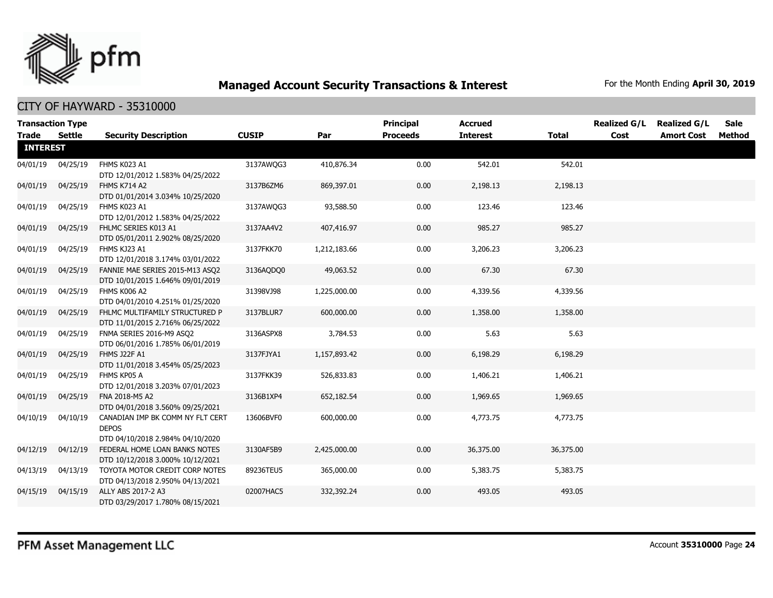

|                 | <b>Transaction Type</b> |                                                                                      |              |              | <b>Principal</b> | <b>Accrued</b>  |              | <b>Realized G/L</b> | <b>Realized G/L</b> | <b>Sale</b> |
|-----------------|-------------------------|--------------------------------------------------------------------------------------|--------------|--------------|------------------|-----------------|--------------|---------------------|---------------------|-------------|
| Trade           | Settle                  | <b>Security Description</b>                                                          | <b>CUSIP</b> | Par          | <b>Proceeds</b>  | <b>Interest</b> | <b>Total</b> | Cost                | <b>Amort Cost</b>   | Method      |
| <b>INTEREST</b> |                         |                                                                                      |              |              |                  |                 |              |                     |                     |             |
| 04/01/19        | 04/25/19                | FHMS K023 A1<br>DTD 12/01/2012 1.583% 04/25/2022                                     | 3137AWQG3    | 410,876.34   | 0.00             | 542.01          | 542.01       |                     |                     |             |
| 04/01/19        | 04/25/19                | FHMS K714 A2<br>DTD 01/01/2014 3.034% 10/25/2020                                     | 3137B6ZM6    | 869,397.01   | 0.00             | 2,198.13        | 2,198.13     |                     |                     |             |
| 04/01/19        | 04/25/19                | FHMS K023 A1<br>DTD 12/01/2012 1.583% 04/25/2022                                     | 3137AWQG3    | 93,588.50    | 0.00             | 123.46          | 123.46       |                     |                     |             |
| 04/01/19        | 04/25/19                | FHLMC SERIES K013 A1<br>DTD 05/01/2011 2.902% 08/25/2020                             | 3137AA4V2    | 407,416.97   | 0.00             | 985.27          | 985.27       |                     |                     |             |
| 04/01/19        | 04/25/19                | FHMS KJ23 A1<br>DTD 12/01/2018 3.174% 03/01/2022                                     | 3137FKK70    | 1,212,183.66 | 0.00             | 3,206.23        | 3,206.23     |                     |                     |             |
| 04/01/19        | 04/25/19                | FANNIE MAE SERIES 2015-M13 ASQ2<br>DTD 10/01/2015 1.646% 09/01/2019                  | 3136AQDQ0    | 49,063.52    | 0.00             | 67.30           | 67.30        |                     |                     |             |
| 04/01/19        | 04/25/19                | FHMS K006 A2<br>DTD 04/01/2010 4.251% 01/25/2020                                     | 31398VJ98    | 1,225,000.00 | 0.00             | 4,339.56        | 4,339.56     |                     |                     |             |
| 04/01/19        | 04/25/19                | FHLMC MULTIFAMILY STRUCTURED P<br>DTD 11/01/2015 2.716% 06/25/2022                   | 3137BLUR7    | 600,000.00   | 0.00             | 1,358.00        | 1,358.00     |                     |                     |             |
| 04/01/19        | 04/25/19                | FNMA SERIES 2016-M9 ASQ2<br>DTD 06/01/2016 1.785% 06/01/2019                         | 3136ASPX8    | 3,784.53     | 0.00             | 5.63            | 5.63         |                     |                     |             |
| 04/01/19        | 04/25/19                | FHMS J22F A1<br>DTD 11/01/2018 3.454% 05/25/2023                                     | 3137FJYA1    | 1,157,893.42 | 0.00             | 6,198.29        | 6,198.29     |                     |                     |             |
| 04/01/19        | 04/25/19                | FHMS KP05 A<br>DTD 12/01/2018 3.203% 07/01/2023                                      | 3137FKK39    | 526,833.83   | 0.00             | 1,406.21        | 1,406.21     |                     |                     |             |
| 04/01/19        | 04/25/19                | FNA 2018-M5 A2<br>DTD 04/01/2018 3.560% 09/25/2021                                   | 3136B1XP4    | 652,182.54   | 0.00             | 1,969.65        | 1,969.65     |                     |                     |             |
| 04/10/19        | 04/10/19                | CANADIAN IMP BK COMM NY FLT CERT<br><b>DEPOS</b><br>DTD 04/10/2018 2.984% 04/10/2020 | 13606BVF0    | 600,000.00   | 0.00             | 4,773.75        | 4,773.75     |                     |                     |             |
| 04/12/19        | 04/12/19                | FEDERAL HOME LOAN BANKS NOTES<br>DTD 10/12/2018 3.000% 10/12/2021                    | 3130AF5B9    | 2,425,000.00 | 0.00             | 36,375.00       | 36,375.00    |                     |                     |             |
| 04/13/19        | 04/13/19                | TOYOTA MOTOR CREDIT CORP NOTES<br>DTD 04/13/2018 2.950% 04/13/2021                   | 89236TEU5    | 365,000.00   | 0.00             | 5,383.75        | 5,383.75     |                     |                     |             |
| 04/15/19        | 04/15/19                | ALLY ABS 2017-2 A3<br>DTD 03/29/2017 1.780% 08/15/2021                               | 02007HAC5    | 332,392.24   | 0.00             | 493.05          | 493.05       |                     |                     |             |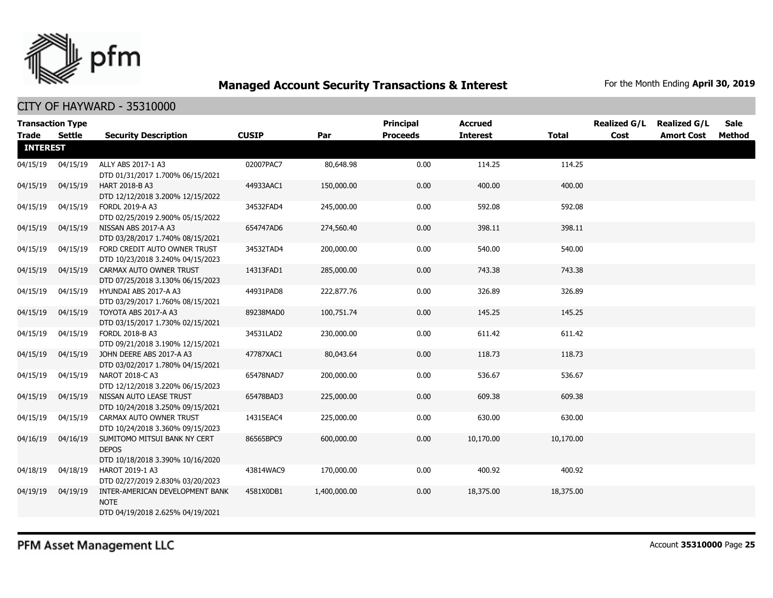

| <b>Transaction Type</b><br><b>Trade</b> | <b>Settle</b> | <b>Security Description</b>                                                        | <b>CUSIP</b> | Par          | <b>Principal</b><br><b>Proceeds</b> | <b>Accrued</b><br><b>Interest</b> | <b>Total</b> | <b>Realized G/L</b><br>Cost | <b>Realized G/L</b><br><b>Amort Cost</b> | <b>Sale</b><br><b>Method</b> |
|-----------------------------------------|---------------|------------------------------------------------------------------------------------|--------------|--------------|-------------------------------------|-----------------------------------|--------------|-----------------------------|------------------------------------------|------------------------------|
| <b>INTEREST</b>                         |               |                                                                                    |              |              |                                     |                                   |              |                             |                                          |                              |
| 04/15/19                                | 04/15/19      | ALLY ABS 2017-1 A3<br>DTD 01/31/2017 1.700% 06/15/2021                             | 02007PAC7    | 80,648.98    | 0.00                                | 114.25                            | 114.25       |                             |                                          |                              |
| 04/15/19                                | 04/15/19      | <b>HART 2018-B A3</b><br>DTD 12/12/2018 3.200% 12/15/2022                          | 44933AAC1    | 150,000.00   | 0.00                                | 400.00                            | 400.00       |                             |                                          |                              |
| 04/15/19                                | 04/15/19      | FORDL 2019-A A3<br>DTD 02/25/2019 2.900% 05/15/2022                                | 34532FAD4    | 245,000.00   | 0.00                                | 592.08                            | 592.08       |                             |                                          |                              |
| 04/15/19                                | 04/15/19      | NISSAN ABS 2017-A A3<br>DTD 03/28/2017 1.740% 08/15/2021                           | 654747AD6    | 274,560.40   | 0.00                                | 398.11                            | 398.11       |                             |                                          |                              |
| 04/15/19                                | 04/15/19      | FORD CREDIT AUTO OWNER TRUST<br>DTD 10/23/2018 3.240% 04/15/2023                   | 34532TAD4    | 200,000.00   | 0.00                                | 540.00                            | 540.00       |                             |                                          |                              |
| 04/15/19                                | 04/15/19      | CARMAX AUTO OWNER TRUST<br>DTD 07/25/2018 3.130% 06/15/2023                        | 14313FAD1    | 285,000.00   | 0.00                                | 743.38                            | 743.38       |                             |                                          |                              |
| 04/15/19                                | 04/15/19      | HYUNDAI ABS 2017-A A3<br>DTD 03/29/2017 1.760% 08/15/2021                          | 44931PAD8    | 222,877.76   | 0.00                                | 326.89                            | 326.89       |                             |                                          |                              |
| 04/15/19                                | 04/15/19      | TOYOTA ABS 2017-A A3<br>DTD 03/15/2017 1.730% 02/15/2021                           | 89238MAD0    | 100,751.74   | 0.00                                | 145.25                            | 145.25       |                             |                                          |                              |
| 04/15/19                                | 04/15/19      | FORDL 2018-B A3<br>DTD 09/21/2018 3.190% 12/15/2021                                | 34531LAD2    | 230,000.00   | 0.00                                | 611.42                            | 611.42       |                             |                                          |                              |
| 04/15/19                                | 04/15/19      | JOHN DEERE ABS 2017-A A3<br>DTD 03/02/2017 1.780% 04/15/2021                       | 47787XAC1    | 80,043.64    | 0.00                                | 118.73                            | 118.73       |                             |                                          |                              |
| 04/15/19                                | 04/15/19      | NAROT 2018-C A3<br>DTD 12/12/2018 3.220% 06/15/2023                                | 65478NAD7    | 200,000.00   | 0.00                                | 536.67                            | 536.67       |                             |                                          |                              |
| 04/15/19                                | 04/15/19      | NISSAN AUTO LEASE TRUST<br>DTD 10/24/2018 3.250% 09/15/2021                        | 65478BAD3    | 225,000.00   | 0.00                                | 609.38                            | 609.38       |                             |                                          |                              |
| 04/15/19                                | 04/15/19      | CARMAX AUTO OWNER TRUST<br>DTD 10/24/2018 3.360% 09/15/2023                        | 14315EAC4    | 225,000.00   | 0.00                                | 630.00                            | 630.00       |                             |                                          |                              |
| 04/16/19                                | 04/16/19      | SUMITOMO MITSUI BANK NY CERT<br><b>DEPOS</b><br>DTD 10/18/2018 3.390% 10/16/2020   | 86565BPC9    | 600,000.00   | 0.00                                | 10,170.00                         | 10,170.00    |                             |                                          |                              |
| 04/18/19                                | 04/18/19      | HAROT 2019-1 A3<br>DTD 02/27/2019 2.830% 03/20/2023                                | 43814WAC9    | 170,000.00   | 0.00                                | 400.92                            | 400.92       |                             |                                          |                              |
| 04/19/19                                | 04/19/19      | INTER-AMERICAN DEVELOPMENT BANK<br><b>NOTE</b><br>DTD 04/19/2018 2.625% 04/19/2021 | 4581X0DB1    | 1,400,000.00 | 0.00                                | 18,375.00                         | 18,375.00    |                             |                                          |                              |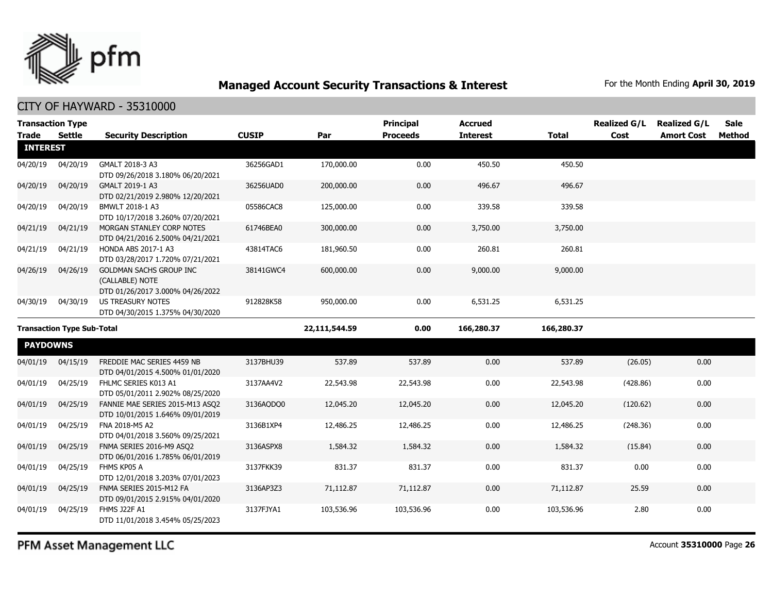

#### CITY OF HAYWARD - 35310000

| <b>Transaction Type</b>           |          |                                                                                |              |               | <b>Principal</b> | <b>Accrued</b>  |            | <b>Realized G/L</b> | <b>Realized G/L</b> | <b>Sale</b> |
|-----------------------------------|----------|--------------------------------------------------------------------------------|--------------|---------------|------------------|-----------------|------------|---------------------|---------------------|-------------|
| Trade                             | Settle   | <b>Security Description</b>                                                    | <b>CUSIP</b> | Par           | <b>Proceeds</b>  | <b>Interest</b> | Total      | Cost                | <b>Amort Cost</b>   | Method      |
| <b>INTEREST</b>                   |          |                                                                                |              |               |                  |                 |            |                     |                     |             |
| 04/20/19                          | 04/20/19 | GMALT 2018-3 A3<br>DTD 09/26/2018 3.180% 06/20/2021                            | 36256GAD1    | 170,000.00    | 0.00             | 450.50          | 450.50     |                     |                     |             |
| 04/20/19                          | 04/20/19 | GMALT 2019-1 A3<br>DTD 02/21/2019 2.980% 12/20/2021                            | 36256UAD0    | 200,000.00    | 0.00             | 496.67          | 496.67     |                     |                     |             |
| 04/20/19                          | 04/20/19 | BMWLT 2018-1 A3<br>DTD 10/17/2018 3.260% 07/20/2021                            | 05586CAC8    | 125,000.00    | 0.00             | 339.58          | 339.58     |                     |                     |             |
| 04/21/19                          | 04/21/19 | MORGAN STANLEY CORP NOTES<br>DTD 04/21/2016 2.500% 04/21/2021                  | 61746BEA0    | 300,000.00    | 0.00             | 3,750.00        | 3,750.00   |                     |                     |             |
| 04/21/19                          | 04/21/19 | HONDA ABS 2017-1 A3<br>DTD 03/28/2017 1.720% 07/21/2021                        | 43814TAC6    | 181,960.50    | 0.00             | 260.81          | 260.81     |                     |                     |             |
| 04/26/19                          | 04/26/19 | GOLDMAN SACHS GROUP INC<br>(CALLABLE) NOTE<br>DTD 01/26/2017 3.000% 04/26/2022 | 38141GWC4    | 600,000.00    | 0.00             | 9,000.00        | 9,000.00   |                     |                     |             |
| 04/30/19                          | 04/30/19 | US TREASURY NOTES<br>DTD 04/30/2015 1.375% 04/30/2020                          | 912828K58    | 950,000.00    | 0.00             | 6,531.25        | 6,531.25   |                     |                     |             |
| <b>Transaction Type Sub-Total</b> |          |                                                                                |              | 22,111,544.59 | 0.00             | 166,280.37      | 166,280.37 |                     |                     |             |
| <b>PAYDOWNS</b>                   |          |                                                                                |              |               |                  |                 |            |                     |                     |             |
| 04/01/19                          | 04/15/19 | FREDDIE MAC SERIES 4459 NB<br>DTD 04/01/2015 4.500% 01/01/2020                 | 3137BHU39    | 537.89        | 537.89           | 0.00            | 537.89     | (26.05)             | 0.00                |             |
| 04/01/19                          | 04/25/19 | FHLMC SERIES K013 A1<br>DTD 05/01/2011 2.902% 08/25/2020                       | 3137AA4V2    | 22,543.98     | 22,543.98        | 0.00            | 22,543.98  | (428.86)            | 0.00                |             |
| 04/01/19                          | 04/25/19 | FANNIE MAE SERIES 2015-M13 ASQ2<br>DTD 10/01/2015 1.646% 09/01/2019            | 3136AQDQ0    | 12,045.20     | 12,045.20        | 0.00            | 12,045.20  | (120.62)            | 0.00                |             |
| 04/01/19                          | 04/25/19 | FNA 2018-M5 A2<br>DTD 04/01/2018 3.560% 09/25/2021                             | 3136B1XP4    | 12,486.25     | 12,486.25        | 0.00            | 12,486.25  | (248.36)            | 0.00                |             |
| 04/01/19                          | 04/25/19 | FNMA SERIES 2016-M9 ASQ2<br>DTD 06/01/2016 1.785% 06/01/2019                   | 3136ASPX8    | 1,584.32      | 1,584.32         | 0.00            | 1,584.32   | (15.84)             | 0.00                |             |
| 04/01/19                          | 04/25/19 | FHMS KP05 A<br>DTD 12/01/2018 3.203% 07/01/2023                                | 3137FKK39    | 831.37        | 831.37           | 0.00            | 831.37     | 0.00                | 0.00                |             |
| 04/01/19                          | 04/25/19 | FNMA SERIES 2015-M12 FA<br>DTD 09/01/2015 2.915% 04/01/2020                    | 3136AP3Z3    | 71,112.87     | 71,112.87        | 0.00            | 71,112.87  | 25.59               | 0.00                |             |
| 04/01/19                          | 04/25/19 | FHMS J22F A1<br>DTD 11/01/2018 3.454% 05/25/2023                               | 3137FJYA1    | 103,536.96    | 103,536.96       | 0.00            | 103,536.96 | 2.80                | 0.00                |             |

PFM Asset Management LLC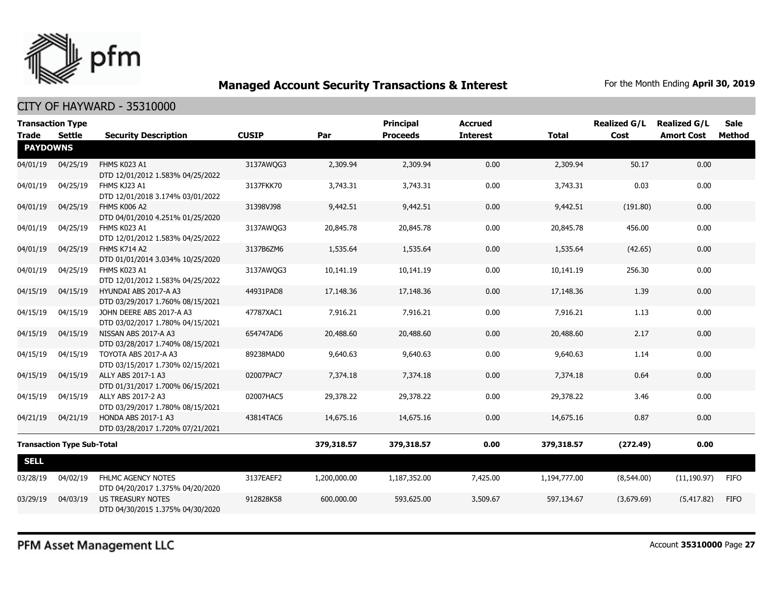

|                                   | <b>Transaction Type</b> |                                                                |              |              | <b>Principal</b> | <b>Accrued</b>  |              | <b>Realized G/L</b> | <b>Realized G/L</b> | <b>Sale</b> |
|-----------------------------------|-------------------------|----------------------------------------------------------------|--------------|--------------|------------------|-----------------|--------------|---------------------|---------------------|-------------|
| Trade                             | <b>Settle</b>           | <b>Security Description</b>                                    | <b>CUSIP</b> | Par          | <b>Proceeds</b>  | <b>Interest</b> | <b>Total</b> | Cost                | <b>Amort Cost</b>   | Method      |
| <b>PAYDOWNS</b>                   |                         |                                                                |              |              |                  |                 |              |                     |                     |             |
| 04/01/19                          | 04/25/19                | FHMS K023 A1<br>DTD 12/01/2012 1.583% 04/25/2022               | 3137AWQG3    | 2,309.94     | 2,309.94         | 0.00            | 2,309.94     | 50.17               | 0.00                |             |
| 04/01/19                          | 04/25/19                | FHMS KJ23 A1<br>DTD 12/01/2018 3.174% 03/01/2022               | 3137FKK70    | 3,743.31     | 3,743.31         | 0.00            | 3,743.31     | 0.03                | 0.00                |             |
| 04/01/19                          | 04/25/19                | FHMS K006 A2<br>DTD 04/01/2010 4.251% 01/25/2020               | 31398VJ98    | 9,442.51     | 9,442.51         | 0.00            | 9,442.51     | (191.80)            | 0.00                |             |
| 04/01/19                          | 04/25/19                | FHMS K023 A1<br>DTD 12/01/2012 1.583% 04/25/2022               | 3137AWQG3    | 20,845.78    | 20,845.78        | 0.00            | 20,845.78    | 456.00              | 0.00                |             |
| 04/01/19                          | 04/25/19                | FHMS K714 A2<br>DTD 01/01/2014 3.034% 10/25/2020               | 3137B6ZM6    | 1,535.64     | 1,535.64         | 0.00            | 1,535.64     | (42.65)             | 0.00                |             |
| 04/01/19                          | 04/25/19                | FHMS K023 A1<br>DTD 12/01/2012 1.583% 04/25/2022               | 3137AWQG3    | 10,141.19    | 10,141.19        | 0.00            | 10,141.19    | 256.30              | 0.00                |             |
| 04/15/19                          | 04/15/19                | HYUNDAI ABS 2017-A A3<br>DTD 03/29/2017 1.760% 08/15/2021      | 44931PAD8    | 17,148.36    | 17,148.36        | 0.00            | 17,148.36    | 1.39                | 0.00                |             |
| 04/15/19                          | 04/15/19                | JOHN DEERE ABS 2017-A A3<br>DTD 03/02/2017 1.780% 04/15/2021   | 47787XAC1    | 7,916.21     | 7,916.21         | 0.00            | 7,916.21     | 1.13                | 0.00                |             |
| 04/15/19                          | 04/15/19                | NISSAN ABS 2017-A A3<br>DTD 03/28/2017 1.740% 08/15/2021       | 654747AD6    | 20,488.60    | 20,488.60        | 0.00            | 20,488.60    | 2.17                | 0.00                |             |
| 04/15/19                          | 04/15/19                | TOYOTA ABS 2017-A A3<br>DTD 03/15/2017 1.730% 02/15/2021       | 89238MAD0    | 9,640.63     | 9,640.63         | 0.00            | 9,640.63     | 1.14                | 0.00                |             |
| 04/15/19                          | 04/15/19                | ALLY ABS 2017-1 A3<br>DTD 01/31/2017 1.700% 06/15/2021         | 02007PAC7    | 7,374.18     | 7,374.18         | 0.00            | 7,374.18     | 0.64                | 0.00                |             |
| 04/15/19                          | 04/15/19                | ALLY ABS 2017-2 A3<br>DTD 03/29/2017 1.780% 08/15/2021         | 02007HAC5    | 29,378.22    | 29,378.22        | 0.00            | 29,378.22    | 3.46                | 0.00                |             |
| 04/21/19                          | 04/21/19                | <b>HONDA ABS 2017-1 A3</b><br>DTD 03/28/2017 1.720% 07/21/2021 | 43814TAC6    | 14,675.16    | 14,675.16        | 0.00            | 14,675.16    | 0.87                | 0.00                |             |
| <b>Transaction Type Sub-Total</b> |                         |                                                                | 379,318.57   | 379,318.57   | 0.00             | 379,318.57      | (272.49)     | 0.00                |                     |             |
| <b>SELL</b>                       |                         |                                                                |              |              |                  |                 |              |                     |                     |             |
| 03/28/19                          | 04/02/19                | FHLMC AGENCY NOTES<br>DTD 04/20/2017 1.375% 04/20/2020         | 3137EAEF2    | 1,200,000.00 | 1,187,352.00     | 7,425.00        | 1,194,777.00 | (8,544.00)          | (11, 190.97)        | <b>FIFO</b> |
| 03/29/19                          | 04/03/19                | US TREASURY NOTES<br>DTD 04/30/2015 1.375% 04/30/2020          | 912828K58    | 600,000.00   | 593,625.00       | 3,509.67        | 597,134.67   | (3,679.69)          | (5,417.82)          | <b>FIFO</b> |